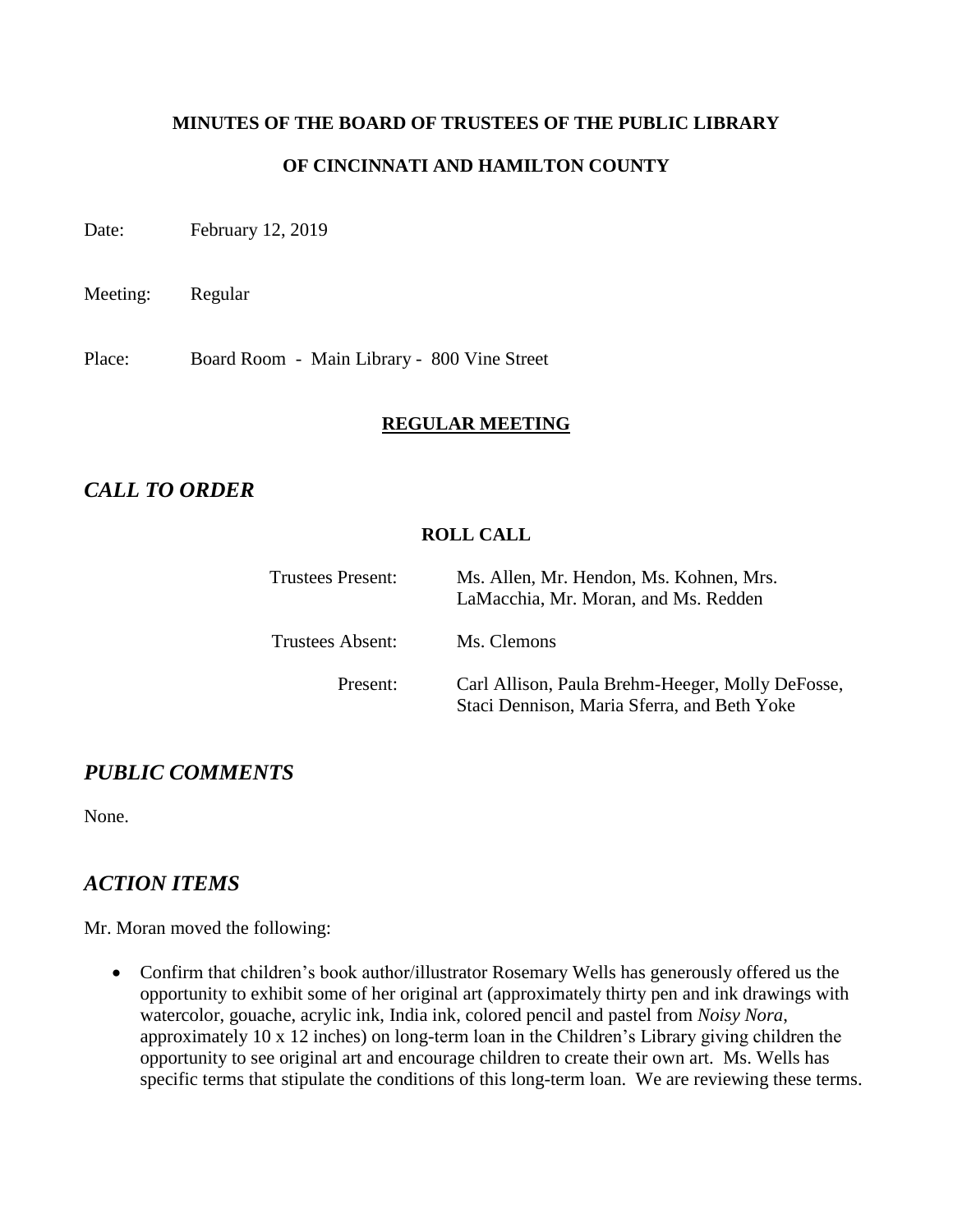### **MINUTES OF THE BOARD OF TRUSTEES OF THE PUBLIC LIBRARY**

### **OF CINCINNATI AND HAMILTON COUNTY**

Date: February 12, 2019

Meeting: Regular

Place: Board Room - Main Library - 800 Vine Street

#### **REGULAR MEETING**

# *CALL TO ORDER*

#### **ROLL CALL**

| <b>Trustees Present:</b> | Ms. Allen, Mr. Hendon, Ms. Kohnen, Mrs.<br>LaMacchia, Mr. Moran, and Ms. Redden                 |
|--------------------------|-------------------------------------------------------------------------------------------------|
| <b>Trustees Absent:</b>  | Ms. Clemons                                                                                     |
| Present:                 | Carl Allison, Paula Brehm-Heeger, Molly DeFosse,<br>Staci Dennison, Maria Sferra, and Beth Yoke |

# *PUBLIC COMMENTS*

None.

# *ACTION ITEMS*

Mr. Moran moved the following:

 Confirm that children's book author/illustrator Rosemary Wells has generously offered us the opportunity to exhibit some of her original art (approximately thirty pen and ink drawings with watercolor, gouache, acrylic ink, India ink, colored pencil and pastel from *Noisy Nora*, approximately 10 x 12 inches) on long-term loan in the Children's Library giving children the opportunity to see original art and encourage children to create their own art. Ms. Wells has specific terms that stipulate the conditions of this long-term loan. We are reviewing these terms.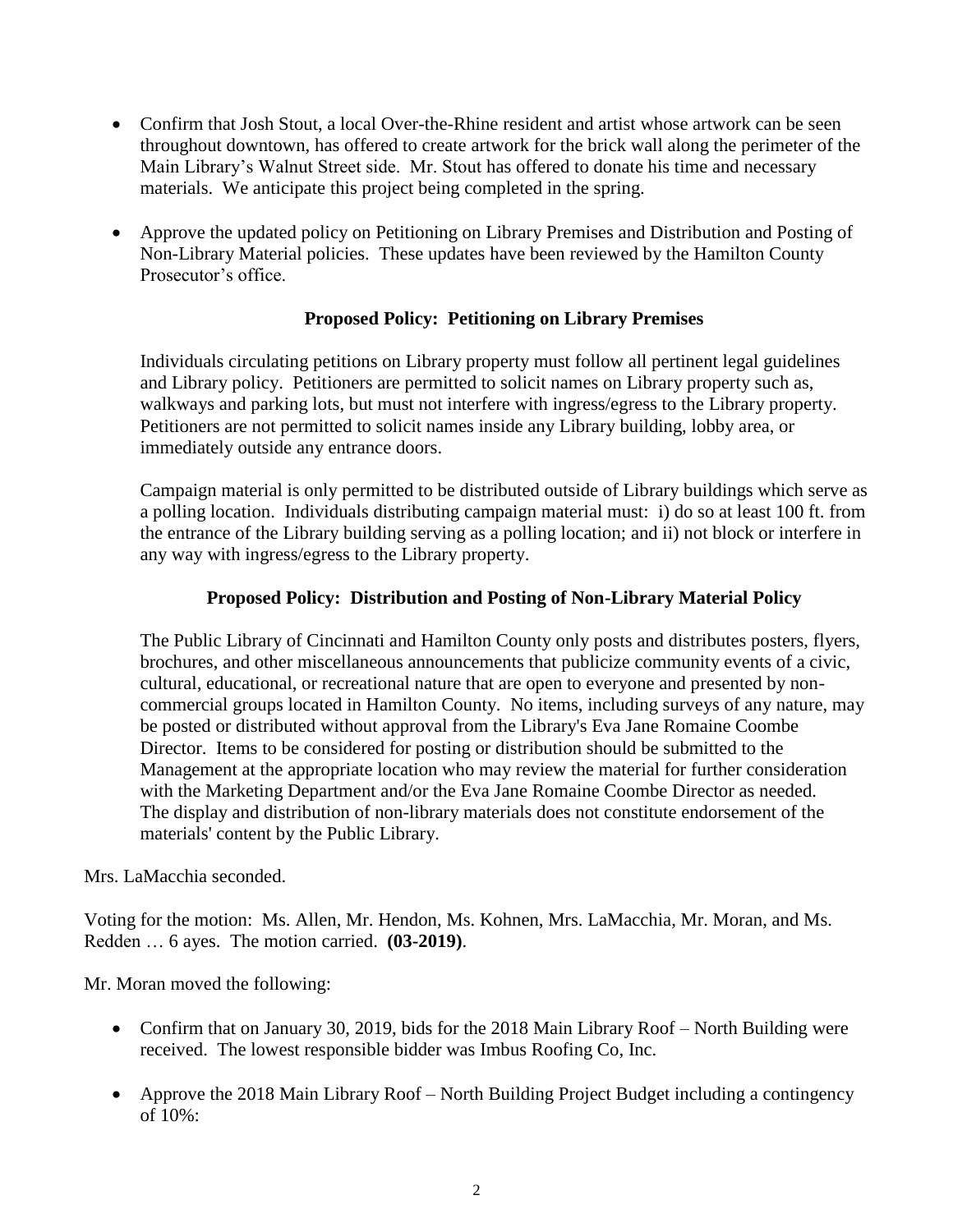- Confirm that Josh Stout, a local Over-the-Rhine resident and artist whose artwork can be seen throughout downtown, has offered to create artwork for the brick wall along the perimeter of the Main Library's Walnut Street side. Mr. Stout has offered to donate his time and necessary materials. We anticipate this project being completed in the spring.
- Approve the updated policy on Petitioning on Library Premises and Distribution and Posting of Non-Library Material policies. These updates have been reviewed by the Hamilton County Prosecutor's office.

# **Proposed Policy: Petitioning on Library Premises**

Individuals circulating petitions on Library property must follow all pertinent legal guidelines and Library policy. Petitioners are permitted to solicit names on Library property such as, walkways and parking lots, but must not interfere with ingress/egress to the Library property. Petitioners are not permitted to solicit names inside any Library building, lobby area, or immediately outside any entrance doors.

Campaign material is only permitted to be distributed outside of Library buildings which serve as a polling location. Individuals distributing campaign material must: i) do so at least 100 ft. from the entrance of the Library building serving as a polling location; and ii) not block or interfere in any way with ingress/egress to the Library property.

# **Proposed Policy: Distribution and Posting of Non-Library Material Policy**

The Public Library of Cincinnati and Hamilton County only posts and distributes posters, flyers, brochures, and other miscellaneous announcements that publicize community events of a civic, cultural, educational, or recreational nature that are open to everyone and presented by noncommercial groups located in Hamilton County. No items, including surveys of any nature, may be posted or distributed without approval from the Library's Eva Jane Romaine Coombe Director. Items to be considered for posting or distribution should be submitted to the Management at the appropriate location who may review the material for further consideration with the Marketing Department and/or the Eva Jane Romaine Coombe Director as needed. The display and distribution of non-library materials does not constitute endorsement of the materials' content by the Public Library.

Mrs. LaMacchia seconded.

Voting for the motion: Ms. Allen, Mr. Hendon, Ms. Kohnen, Mrs. LaMacchia, Mr. Moran, and Ms. Redden … 6 ayes. The motion carried. **(03-2019)**.

Mr. Moran moved the following:

- Confirm that on January 30, 2019, bids for the 2018 Main Library Roof North Building were received. The lowest responsible bidder was Imbus Roofing Co, Inc.
- Approve the 2018 Main Library Roof North Building Project Budget including a contingency of  $10\%$ :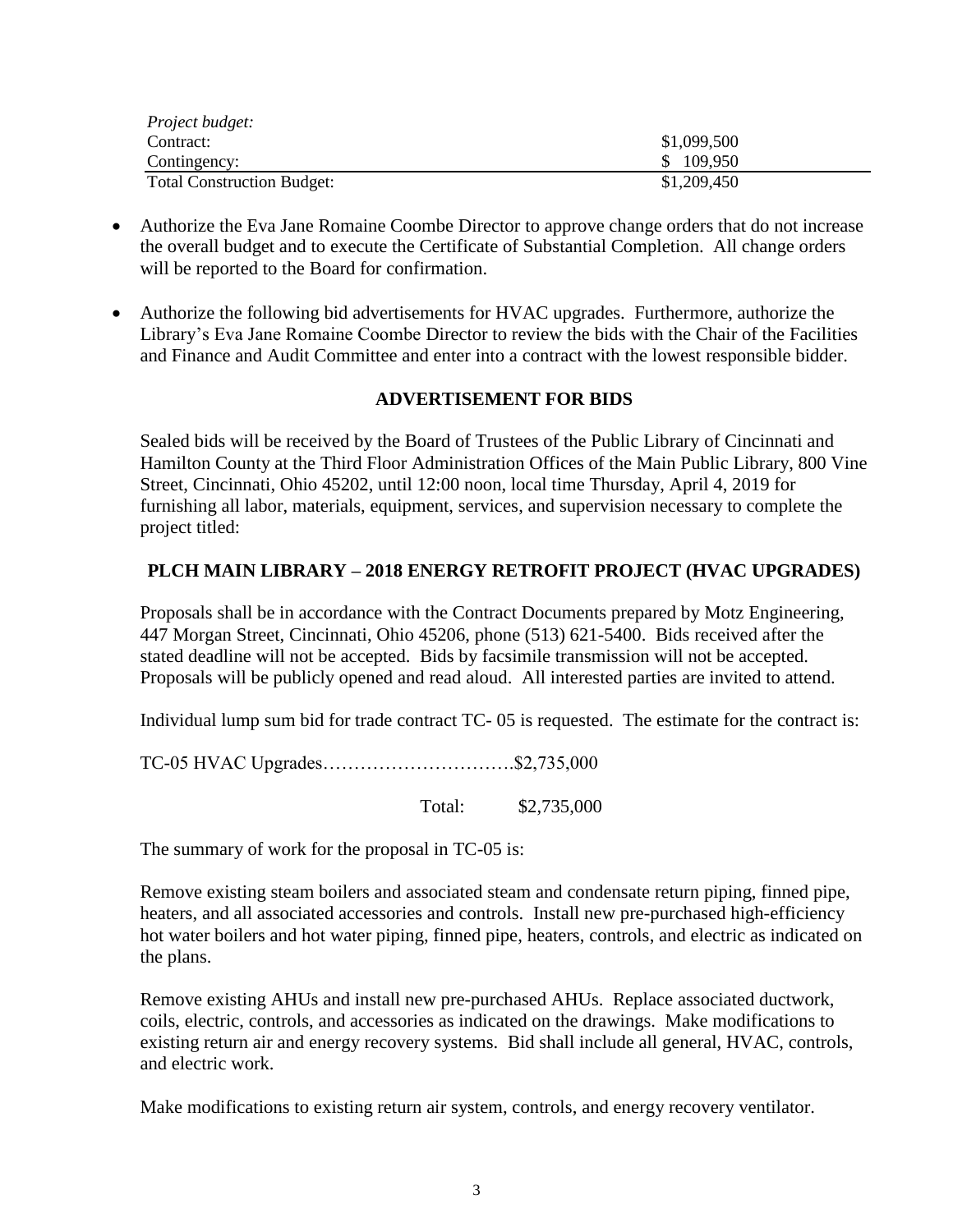| Project budget:                   |             |
|-----------------------------------|-------------|
| Contract:                         | \$1,099,500 |
| Contingency:                      | \$109,950   |
| <b>Total Construction Budget:</b> | \$1,209,450 |

- Authorize the Eva Jane Romaine Coombe Director to approve change orders that do not increase the overall budget and to execute the Certificate of Substantial Completion. All change orders will be reported to the Board for confirmation.
- Authorize the following bid advertisements for HVAC upgrades. Furthermore, authorize the Library's Eva Jane Romaine Coombe Director to review the bids with the Chair of the Facilities and Finance and Audit Committee and enter into a contract with the lowest responsible bidder.

# **ADVERTISEMENT FOR BIDS**

Sealed bids will be received by the Board of Trustees of the Public Library of Cincinnati and Hamilton County at the Third Floor Administration Offices of the Main Public Library, 800 Vine Street, Cincinnati, Ohio 45202, until 12:00 noon, local time Thursday, April 4, 2019 for furnishing all labor, materials, equipment, services, and supervision necessary to complete the project titled:

#### **PLCH MAIN LIBRARY – 2018 ENERGY RETROFIT PROJECT (HVAC UPGRADES)**

Proposals shall be in accordance with the Contract Documents prepared by Motz Engineering, 447 Morgan Street, Cincinnati, Ohio 45206, phone (513) 621-5400. Bids received after the stated deadline will not be accepted. Bids by facsimile transmission will not be accepted. Proposals will be publicly opened and read aloud. All interested parties are invited to attend.

Individual lump sum bid for trade contract TC- 05 is requested. The estimate for the contract is:

TC-05 HVAC Upgrades………………………….\$2,735,000

Total: \$2,735,000

The summary of work for the proposal in TC-05 is:

Remove existing steam boilers and associated steam and condensate return piping, finned pipe, heaters, and all associated accessories and controls. Install new pre-purchased high-efficiency hot water boilers and hot water piping, finned pipe, heaters, controls, and electric as indicated on the plans.

Remove existing AHUs and install new pre-purchased AHUs. Replace associated ductwork, coils, electric, controls, and accessories as indicated on the drawings. Make modifications to existing return air and energy recovery systems. Bid shall include all general, HVAC, controls, and electric work.

Make modifications to existing return air system, controls, and energy recovery ventilator.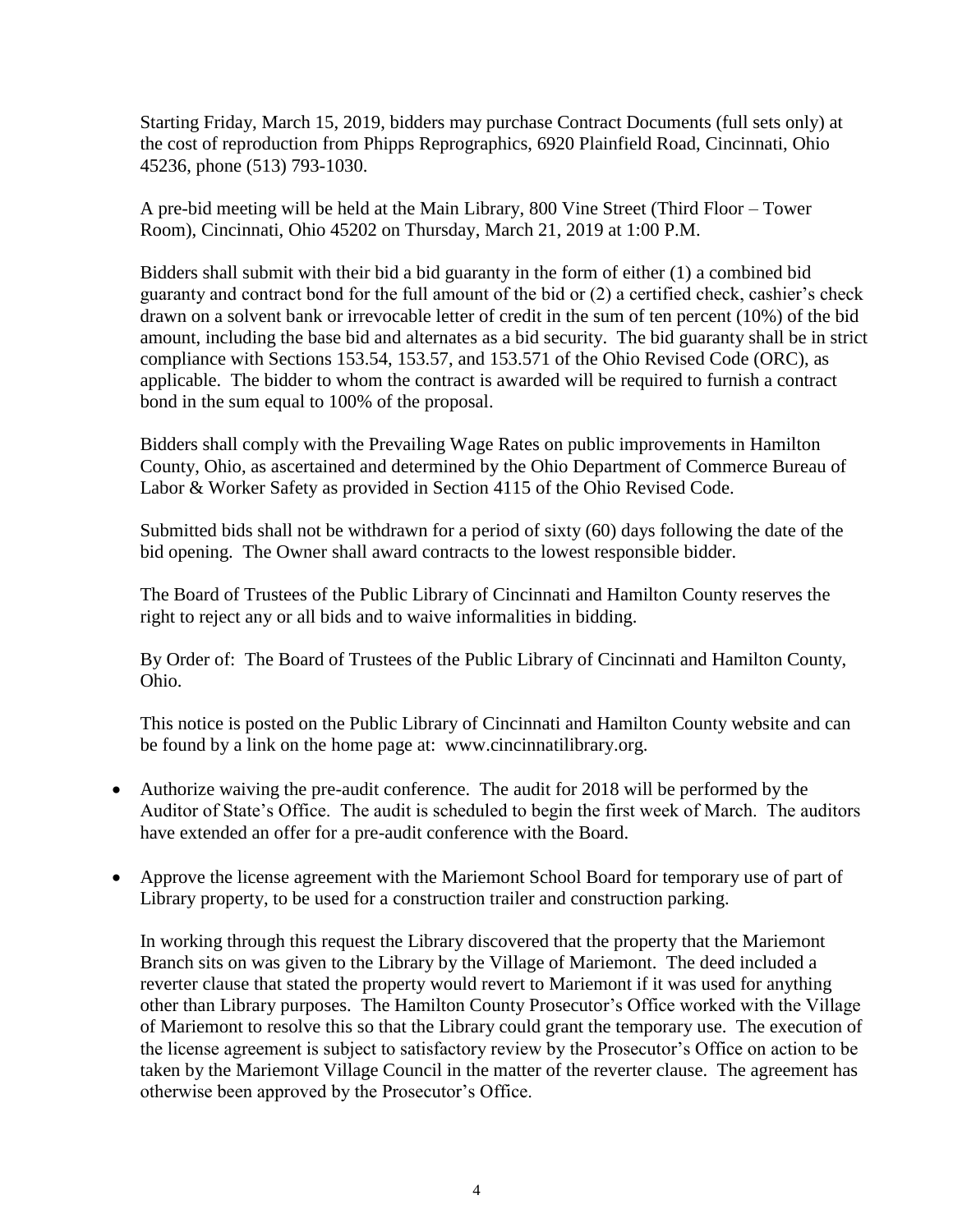Starting Friday, March 15, 2019, bidders may purchase Contract Documents (full sets only) at the cost of reproduction from Phipps Reprographics, 6920 Plainfield Road, Cincinnati, Ohio 45236, phone (513) 793-1030.

A pre-bid meeting will be held at the Main Library, 800 Vine Street (Third Floor – Tower Room), Cincinnati, Ohio 45202 on Thursday, March 21, 2019 at 1:00 P.M.

Bidders shall submit with their bid a bid guaranty in the form of either (1) a combined bid guaranty and contract bond for the full amount of the bid or (2) a certified check, cashier's check drawn on a solvent bank or irrevocable letter of credit in the sum of ten percent (10%) of the bid amount, including the base bid and alternates as a bid security. The bid guaranty shall be in strict compliance with Sections 153.54, 153.57, and 153.571 of the Ohio Revised Code (ORC), as applicable. The bidder to whom the contract is awarded will be required to furnish a contract bond in the sum equal to 100% of the proposal.

Bidders shall comply with the Prevailing Wage Rates on public improvements in Hamilton County, Ohio, as ascertained and determined by the Ohio Department of Commerce Bureau of Labor & Worker Safety as provided in Section 4115 of the Ohio Revised Code.

Submitted bids shall not be withdrawn for a period of sixty (60) days following the date of the bid opening. The Owner shall award contracts to the lowest responsible bidder.

The Board of Trustees of the Public Library of Cincinnati and Hamilton County reserves the right to reject any or all bids and to waive informalities in bidding.

By Order of: The Board of Trustees of the Public Library of Cincinnati and Hamilton County, Ohio.

This notice is posted on the Public Library of Cincinnati and Hamilton County website and can be found by a link on the home page at: www.cincinnatilibrary.org.

- Authorize waiving the pre-audit conference. The audit for 2018 will be performed by the Auditor of State's Office. The audit is scheduled to begin the first week of March. The auditors have extended an offer for a pre-audit conference with the Board.
- Approve the license agreement with the Mariemont School Board for temporary use of part of Library property, to be used for a construction trailer and construction parking.

In working through this request the Library discovered that the property that the Mariemont Branch sits on was given to the Library by the Village of Mariemont. The deed included a reverter clause that stated the property would revert to Mariemont if it was used for anything other than Library purposes. The Hamilton County Prosecutor's Office worked with the Village of Mariemont to resolve this so that the Library could grant the temporary use. The execution of the license agreement is subject to satisfactory review by the Prosecutor's Office on action to be taken by the Mariemont Village Council in the matter of the reverter clause. The agreement has otherwise been approved by the Prosecutor's Office.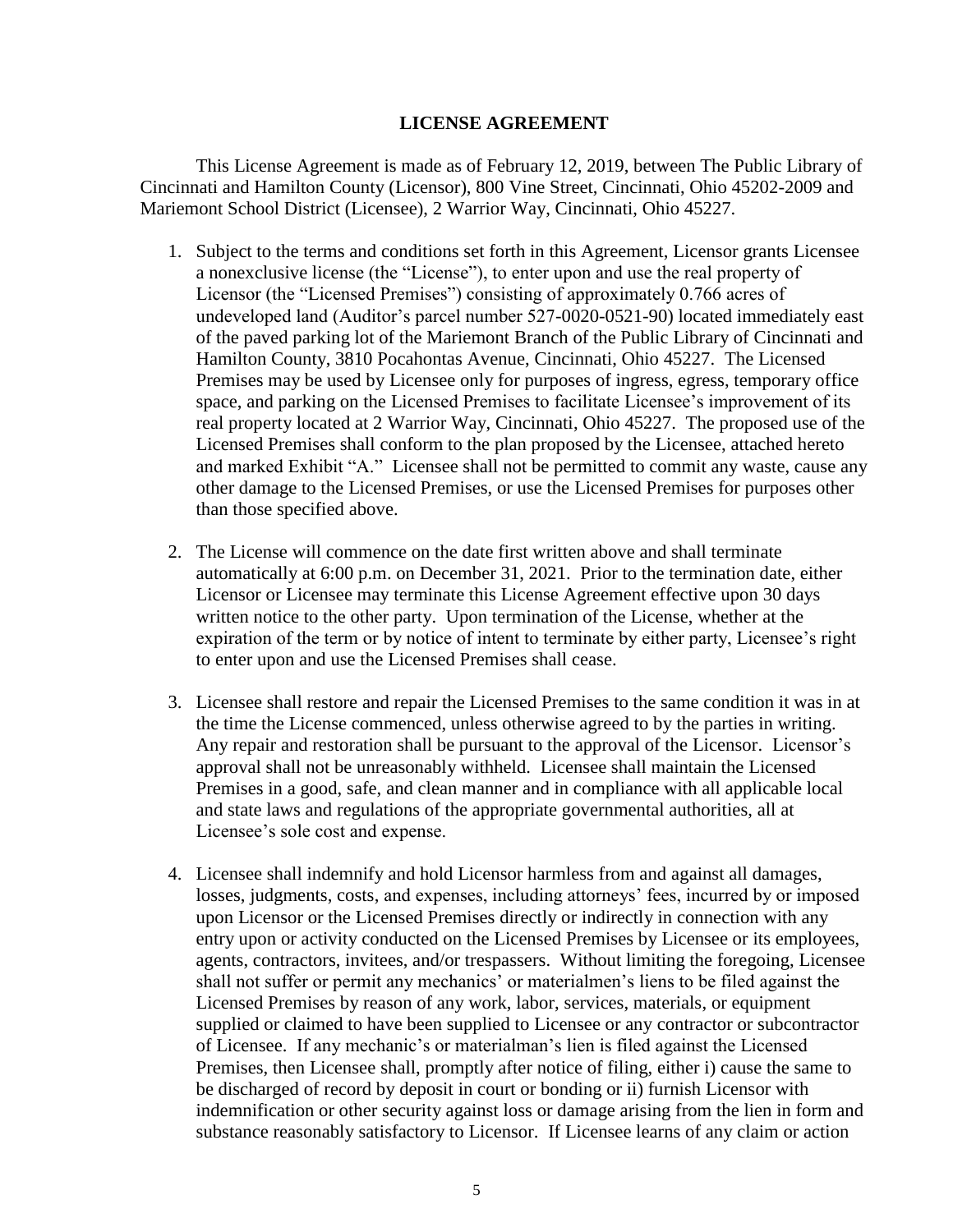#### **LICENSE AGREEMENT**

This License Agreement is made as of February 12, 2019, between The Public Library of Cincinnati and Hamilton County (Licensor), 800 Vine Street, Cincinnati, Ohio 45202-2009 and Mariemont School District (Licensee), 2 Warrior Way, Cincinnati, Ohio 45227.

- 1. Subject to the terms and conditions set forth in this Agreement, Licensor grants Licensee a nonexclusive license (the "License"), to enter upon and use the real property of Licensor (the "Licensed Premises") consisting of approximately 0.766 acres of undeveloped land (Auditor's parcel number 527-0020-0521-90) located immediately east of the paved parking lot of the Mariemont Branch of the Public Library of Cincinnati and Hamilton County, 3810 Pocahontas Avenue, Cincinnati, Ohio 45227. The Licensed Premises may be used by Licensee only for purposes of ingress, egress, temporary office space, and parking on the Licensed Premises to facilitate Licensee's improvement of its real property located at 2 Warrior Way, Cincinnati, Ohio 45227. The proposed use of the Licensed Premises shall conform to the plan proposed by the Licensee, attached hereto and marked Exhibit "A." Licensee shall not be permitted to commit any waste, cause any other damage to the Licensed Premises, or use the Licensed Premises for purposes other than those specified above.
- 2. The License will commence on the date first written above and shall terminate automatically at 6:00 p.m. on December 31, 2021. Prior to the termination date, either Licensor or Licensee may terminate this License Agreement effective upon 30 days written notice to the other party. Upon termination of the License, whether at the expiration of the term or by notice of intent to terminate by either party, Licensee's right to enter upon and use the Licensed Premises shall cease.
- 3. Licensee shall restore and repair the Licensed Premises to the same condition it was in at the time the License commenced, unless otherwise agreed to by the parties in writing. Any repair and restoration shall be pursuant to the approval of the Licensor. Licensor's approval shall not be unreasonably withheld. Licensee shall maintain the Licensed Premises in a good, safe, and clean manner and in compliance with all applicable local and state laws and regulations of the appropriate governmental authorities, all at Licensee's sole cost and expense.
- 4. Licensee shall indemnify and hold Licensor harmless from and against all damages, losses, judgments, costs, and expenses, including attorneys' fees, incurred by or imposed upon Licensor or the Licensed Premises directly or indirectly in connection with any entry upon or activity conducted on the Licensed Premises by Licensee or its employees, agents, contractors, invitees, and/or trespassers. Without limiting the foregoing, Licensee shall not suffer or permit any mechanics' or materialmen's liens to be filed against the Licensed Premises by reason of any work, labor, services, materials, or equipment supplied or claimed to have been supplied to Licensee or any contractor or subcontractor of Licensee. If any mechanic's or materialman's lien is filed against the Licensed Premises, then Licensee shall, promptly after notice of filing, either i) cause the same to be discharged of record by deposit in court or bonding or ii) furnish Licensor with indemnification or other security against loss or damage arising from the lien in form and substance reasonably satisfactory to Licensor. If Licensee learns of any claim or action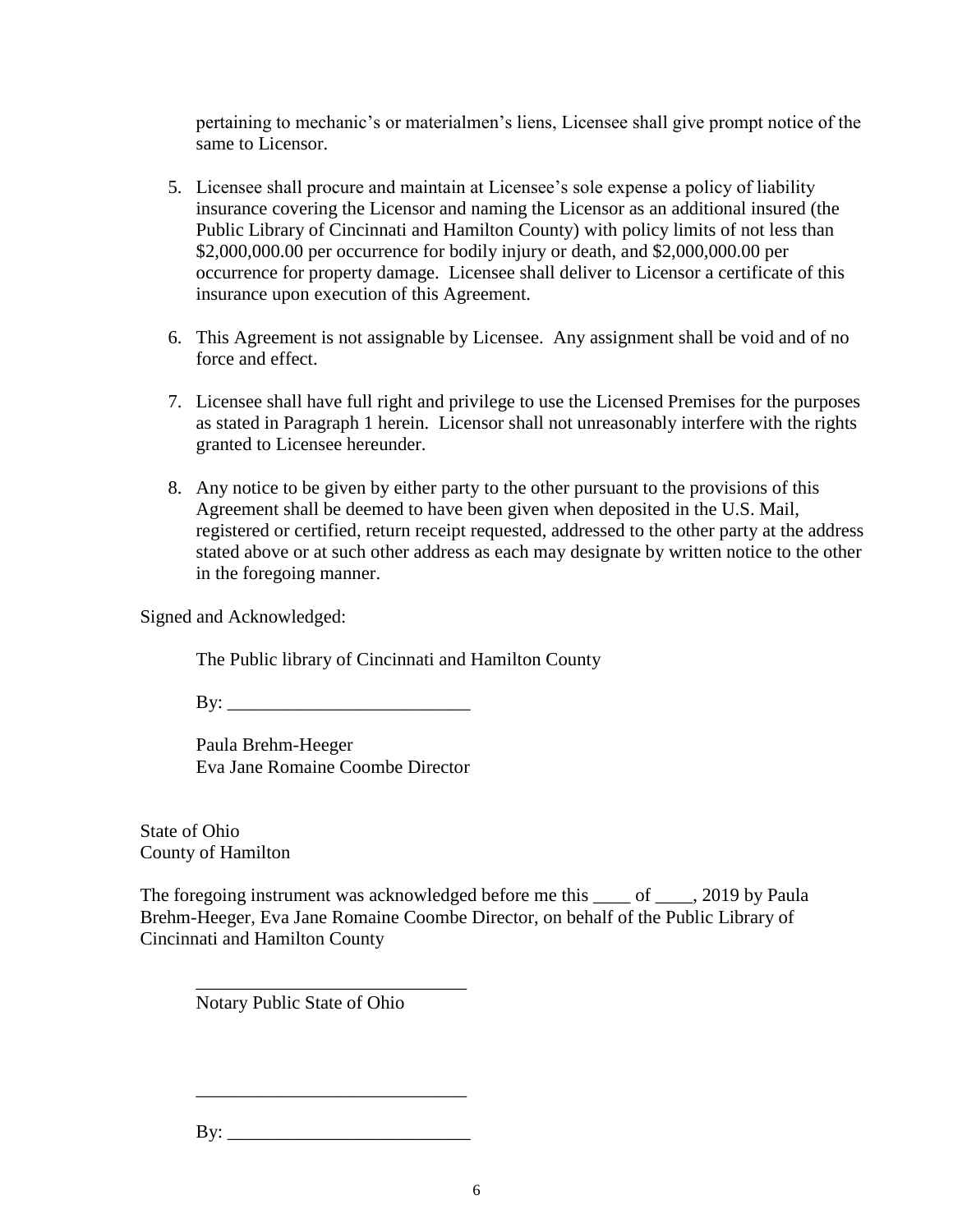pertaining to mechanic's or materialmen's liens, Licensee shall give prompt notice of the same to Licensor.

- 5. Licensee shall procure and maintain at Licensee's sole expense a policy of liability insurance covering the Licensor and naming the Licensor as an additional insured (the Public Library of Cincinnati and Hamilton County) with policy limits of not less than \$2,000,000.00 per occurrence for bodily injury or death, and \$2,000,000.00 per occurrence for property damage. Licensee shall deliver to Licensor a certificate of this insurance upon execution of this Agreement.
- 6. This Agreement is not assignable by Licensee. Any assignment shall be void and of no force and effect.
- 7. Licensee shall have full right and privilege to use the Licensed Premises for the purposes as stated in Paragraph 1 herein. Licensor shall not unreasonably interfere with the rights granted to Licensee hereunder.
- 8. Any notice to be given by either party to the other pursuant to the provisions of this Agreement shall be deemed to have been given when deposited in the U.S. Mail, registered or certified, return receipt requested, addressed to the other party at the address stated above or at such other address as each may designate by written notice to the other in the foregoing manner.

Signed and Acknowledged:

The Public library of Cincinnati and Hamilton County

 $\mathbf{B} \mathbf{y}$ :

Paula Brehm-Heeger Eva Jane Romaine Coombe Director

State of Ohio County of Hamilton

The foregoing instrument was acknowledged before me this \_\_\_\_ of \_\_\_\_, 2019 by Paula Brehm-Heeger, Eva Jane Romaine Coombe Director, on behalf of the Public Library of Cincinnati and Hamilton County

Notary Public State of Ohio

\_\_\_\_\_\_\_\_\_\_\_\_\_\_\_\_\_\_\_\_\_\_\_\_\_\_\_\_\_

\_\_\_\_\_\_\_\_\_\_\_\_\_\_\_\_\_\_\_\_\_\_\_\_\_\_\_\_\_

 $\mathbf{By:}$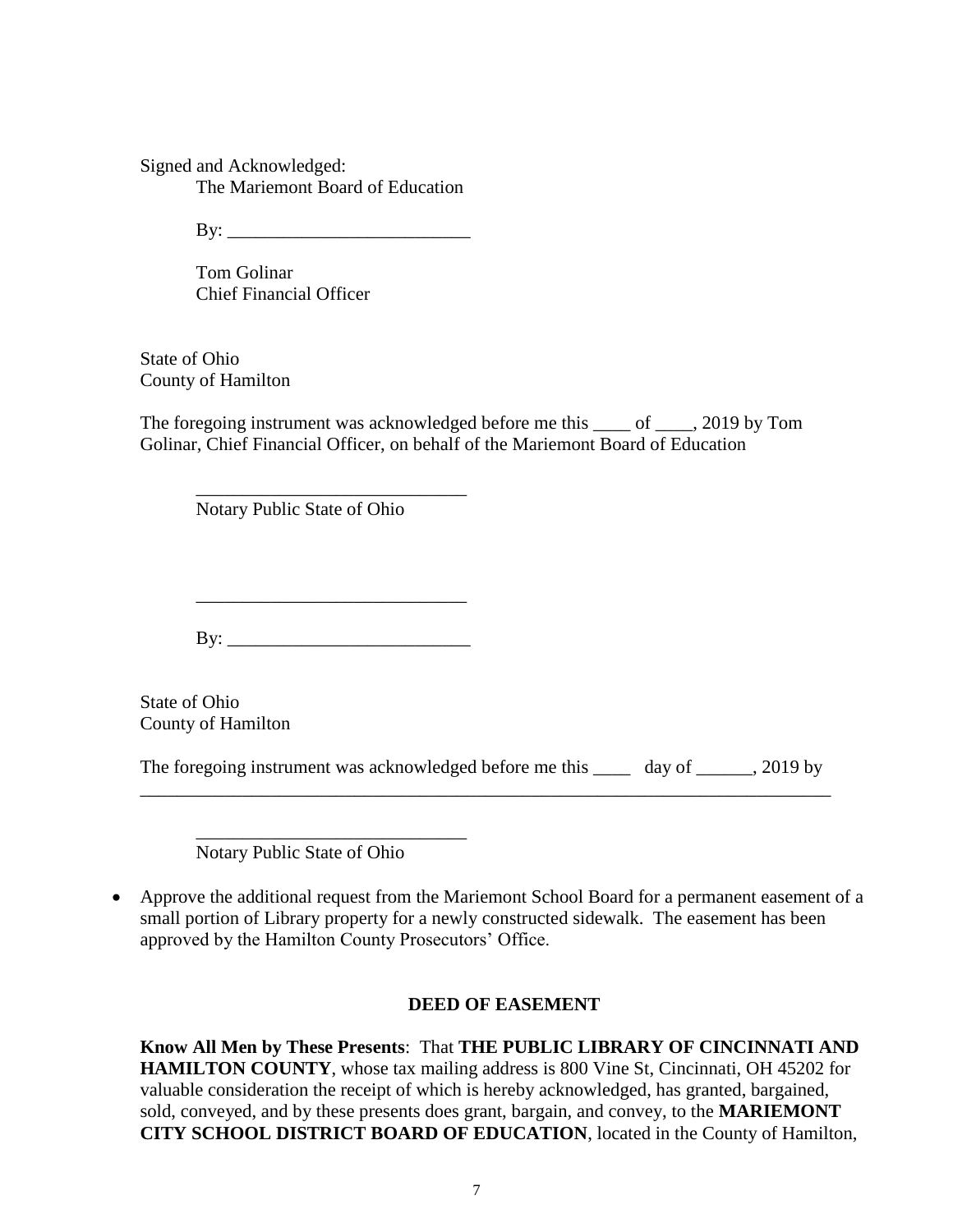Signed and Acknowledged: The Mariemont Board of Education

 $\mathbf{B} \mathbf{y}$ :

Tom Golinar Chief Financial Officer

State of Ohio County of Hamilton

The foregoing instrument was acknowledged before me this of . 2019 by Tom Golinar, Chief Financial Officer, on behalf of the Mariemont Board of Education

Notary Public State of Ohio

\_\_\_\_\_\_\_\_\_\_\_\_\_\_\_\_\_\_\_\_\_\_\_\_\_\_\_\_\_

By: \_\_\_\_\_\_\_\_\_\_\_\_\_\_\_\_\_\_\_\_\_\_\_\_\_\_

State of Ohio County of Hamilton

The foregoing instrument was acknowledged before me this \_\_\_\_\_ day of \_\_\_\_\_\_, 2019 by \_\_\_\_\_\_\_\_\_\_\_\_\_\_\_\_\_\_\_\_\_\_\_\_\_\_\_\_\_\_\_\_\_\_\_\_\_\_\_\_\_\_\_\_\_\_\_\_\_\_\_\_\_\_\_\_\_\_\_\_\_\_\_\_\_\_\_\_\_\_\_\_\_\_

\_\_\_\_\_\_\_\_\_\_\_\_\_\_\_\_\_\_\_\_\_\_\_\_\_\_\_\_\_ Notary Public State of Ohio

 Approve the additional request from the Mariemont School Board for a permanent easement of a small portion of Library property for a newly constructed sidewalk. The easement has been approved by the Hamilton County Prosecutors' Office.

#### **DEED OF EASEMENT**

**Know All Men by These Presents**: That **THE PUBLIC LIBRARY OF CINCINNATI AND HAMILTON COUNTY**, whose tax mailing address is 800 Vine St, Cincinnati, OH 45202 for valuable consideration the receipt of which is hereby acknowledged, has granted, bargained, sold, conveyed, and by these presents does grant, bargain, and convey, to the **MARIEMONT CITY SCHOOL DISTRICT BOARD OF EDUCATION**, located in the County of Hamilton,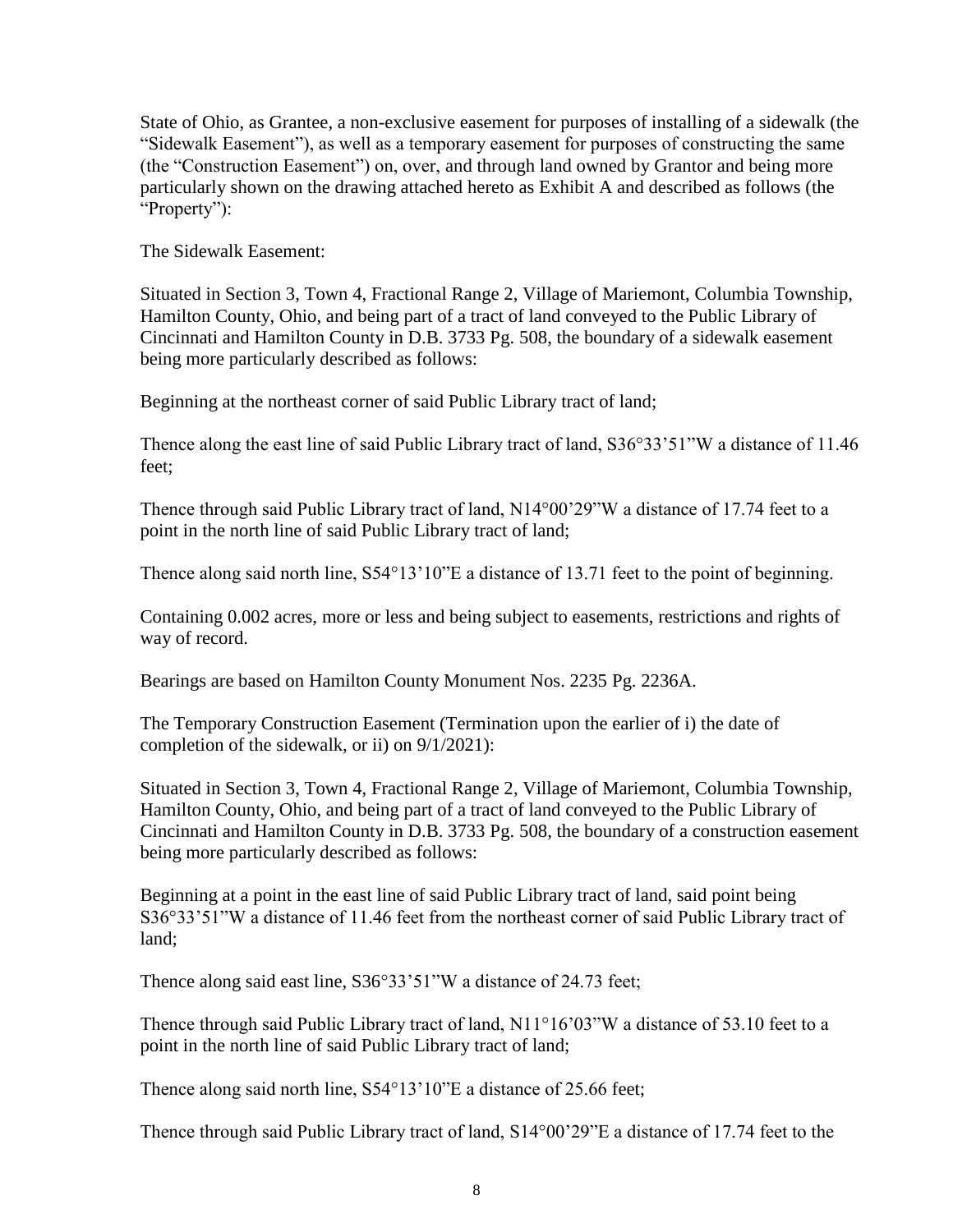State of Ohio, as Grantee, a non-exclusive easement for purposes of installing of a sidewalk (the "Sidewalk Easement"), as well as a temporary easement for purposes of constructing the same (the "Construction Easement") on, over, and through land owned by Grantor and being more particularly shown on the drawing attached hereto as Exhibit A and described as follows (the "Property":

The Sidewalk Easement:

Situated in Section 3, Town 4, Fractional Range 2, Village of Mariemont, Columbia Township, Hamilton County, Ohio, and being part of a tract of land conveyed to the Public Library of Cincinnati and Hamilton County in D.B. 3733 Pg. 508, the boundary of a sidewalk easement being more particularly described as follows:

Beginning at the northeast corner of said Public Library tract of land;

Thence along the east line of said Public Library tract of land,  $S36^{\circ}33'51''W$  a distance of 11.46 feet;

Thence through said Public Library tract of land, N14°00'29"W a distance of 17.74 feet to a point in the north line of said Public Library tract of land;

Thence along said north line,  $S54^{\circ}13'10''E$  a distance of 13.71 feet to the point of beginning.

Containing 0.002 acres, more or less and being subject to easements, restrictions and rights of way of record.

Bearings are based on Hamilton County Monument Nos. 2235 Pg. 2236A.

The Temporary Construction Easement (Termination upon the earlier of i) the date of completion of the sidewalk, or ii) on 9/1/2021):

Situated in Section 3, Town 4, Fractional Range 2, Village of Mariemont, Columbia Township, Hamilton County, Ohio, and being part of a tract of land conveyed to the Public Library of Cincinnati and Hamilton County in D.B. 3733 Pg. 508, the boundary of a construction easement being more particularly described as follows:

Beginning at a point in the east line of said Public Library tract of land, said point being S36°33'51"W a distance of 11.46 feet from the northeast corner of said Public Library tract of land;

Thence along said east line, S36°33'51"W a distance of 24.73 feet;

Thence through said Public Library tract of land, N11°16'03"W a distance of 53.10 feet to a point in the north line of said Public Library tract of land;

Thence along said north line, S54°13'10"E a distance of 25.66 feet;

Thence through said Public Library tract of land, S14°00'29"E a distance of 17.74 feet to the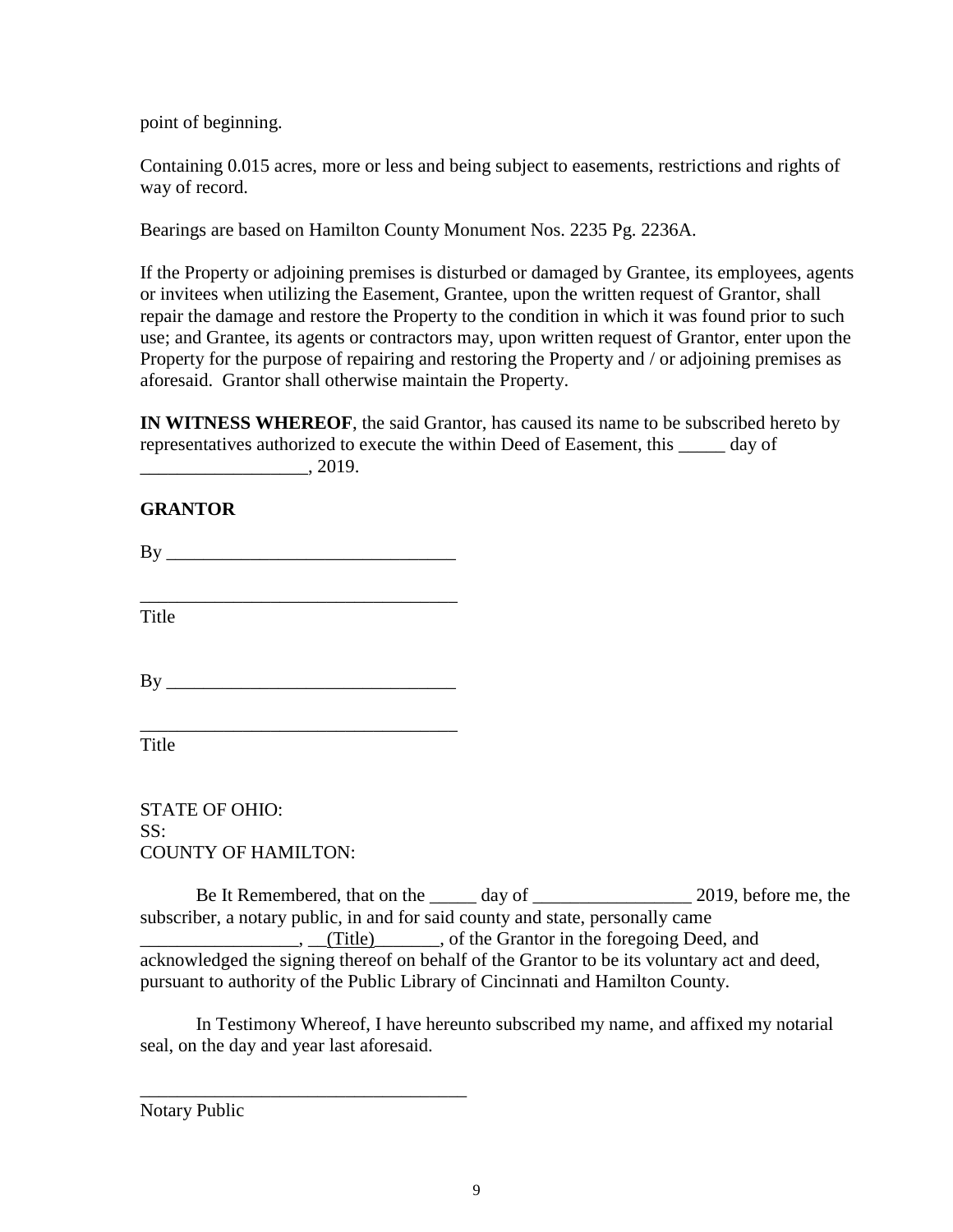point of beginning.

Containing 0.015 acres, more or less and being subject to easements, restrictions and rights of way of record.

Bearings are based on Hamilton County Monument Nos. 2235 Pg. 2236A.

If the Property or adjoining premises is disturbed or damaged by Grantee, its employees, agents or invitees when utilizing the Easement, Grantee, upon the written request of Grantor, shall repair the damage and restore the Property to the condition in which it was found prior to such use; and Grantee, its agents or contractors may, upon written request of Grantor, enter upon the Property for the purpose of repairing and restoring the Property and / or adjoining premises as aforesaid. Grantor shall otherwise maintain the Property.

**IN WITNESS WHEREOF**, the said Grantor, has caused its name to be subscribed hereto by representatives authorized to execute the within Deed of Easement, this \_\_\_\_\_ day of \_\_\_\_\_\_\_\_\_\_\_\_\_\_\_\_\_\_, 2019.

### **GRANTOR**

By \_\_\_\_\_\_\_\_\_\_\_\_\_\_\_\_\_\_\_\_\_\_\_\_\_\_\_\_\_\_\_

\_\_\_\_\_\_\_\_\_\_\_\_\_\_\_\_\_\_\_\_\_\_\_\_\_\_\_\_\_\_\_\_\_\_ Title

By \_\_\_\_\_\_\_\_\_\_\_\_\_\_\_\_\_\_\_\_\_\_\_\_\_\_\_\_\_\_\_

\_\_\_\_\_\_\_\_\_\_\_\_\_\_\_\_\_\_\_\_\_\_\_\_\_\_\_\_\_\_\_\_\_\_

\_\_\_\_\_\_\_\_\_\_\_\_\_\_\_\_\_\_\_\_\_\_\_\_\_\_\_\_\_\_\_\_\_\_\_

Title

STATE OF OHIO: SS: COUNTY OF HAMILTON:

Be It Remembered, that on the \_\_\_\_\_ day of \_\_\_\_\_\_\_\_\_\_\_\_\_\_\_\_\_\_\_ 2019, before me, the subscriber, a notary public, in and for said county and state, personally came  $\Box$ ,  $\Box$ (Title)  $\Box$ , of the Grantor in the foregoing Deed, and acknowledged the signing thereof on behalf of the Grantor to be its voluntary act and deed, pursuant to authority of the Public Library of Cincinnati and Hamilton County.

In Testimony Whereof, I have hereunto subscribed my name, and affixed my notarial seal, on the day and year last aforesaid.

Notary Public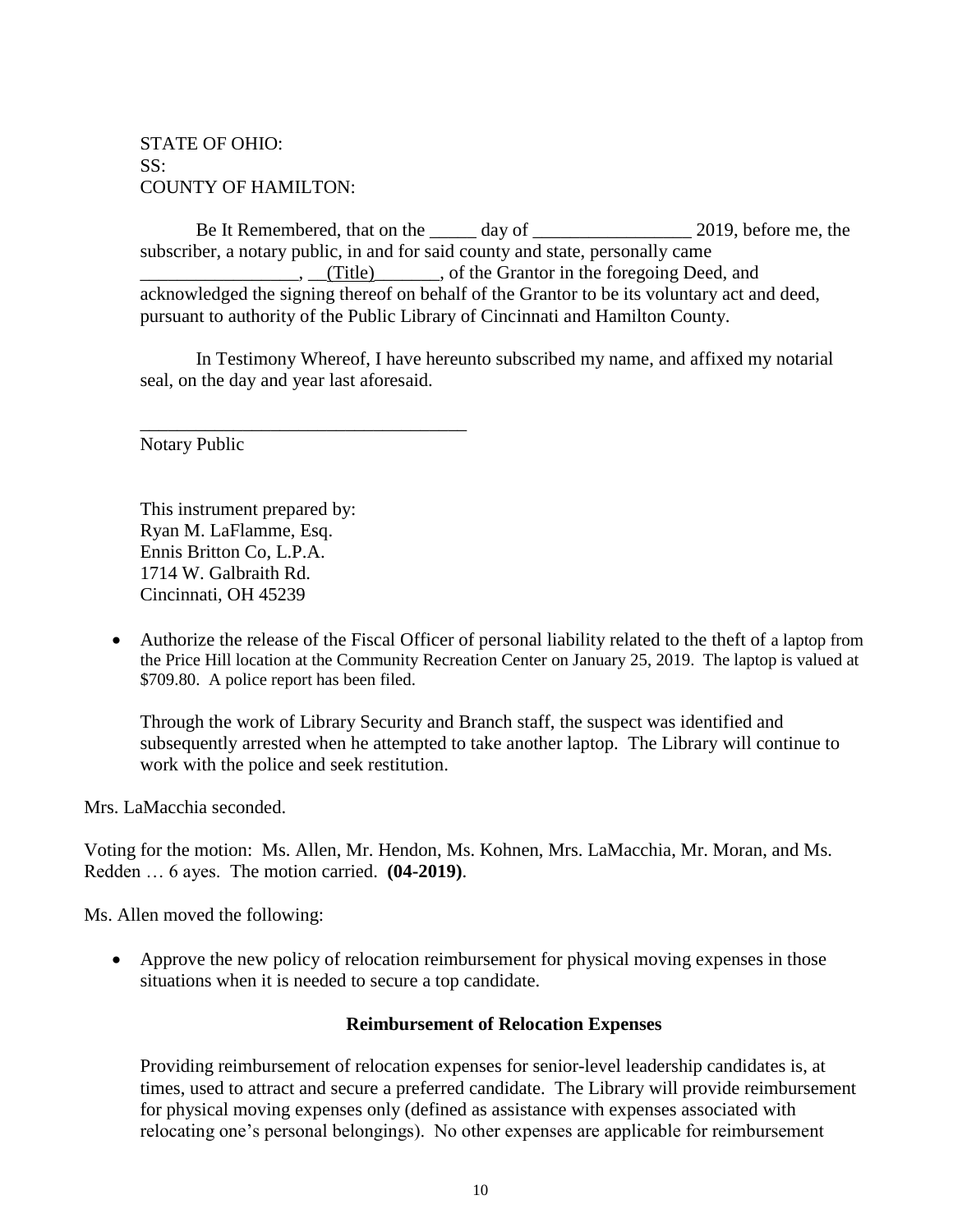# STATE OF OHIO: SS: COUNTY OF HAMILTON:

Be It Remembered, that on the \_\_\_\_\_ day of \_\_\_\_\_\_\_\_\_\_\_\_\_\_\_\_\_\_\_ 2019, before me, the subscriber, a notary public, in and for said county and state, personally came  $\Box$ ,  $\Box$ (Title)  $\Box$ , of the Grantor in the foregoing Deed, and acknowledged the signing thereof on behalf of the Grantor to be its voluntary act and deed, pursuant to authority of the Public Library of Cincinnati and Hamilton County.

In Testimony Whereof, I have hereunto subscribed my name, and affixed my notarial seal, on the day and year last aforesaid.

Notary Public

This instrument prepared by: Ryan M. LaFlamme, Esq. Ennis Britton Co, L.P.A. 1714 W. Galbraith Rd. Cincinnati, OH 45239

\_\_\_\_\_\_\_\_\_\_\_\_\_\_\_\_\_\_\_\_\_\_\_\_\_\_\_\_\_\_\_\_\_\_\_

 Authorize the release of the Fiscal Officer of personal liability related to the theft of a laptop from the Price Hill location at the Community Recreation Center on January 25, 2019. The laptop is valued at \$709.80. A police report has been filed.

Through the work of Library Security and Branch staff, the suspect was identified and subsequently arrested when he attempted to take another laptop. The Library will continue to work with the police and seek restitution.

Mrs. LaMacchia seconded.

Voting for the motion: Ms. Allen, Mr. Hendon, Ms. Kohnen, Mrs. LaMacchia, Mr. Moran, and Ms. Redden … 6 ayes. The motion carried. **(04-2019)**.

Ms. Allen moved the following:

 Approve the new policy of relocation reimbursement for physical moving expenses in those situations when it is needed to secure a top candidate.

#### **Reimbursement of Relocation Expenses**

Providing reimbursement of relocation expenses for senior-level leadership candidates is, at times, used to attract and secure a preferred candidate. The Library will provide reimbursement for physical moving expenses only (defined as assistance with expenses associated with relocating one's personal belongings). No other expenses are applicable for reimbursement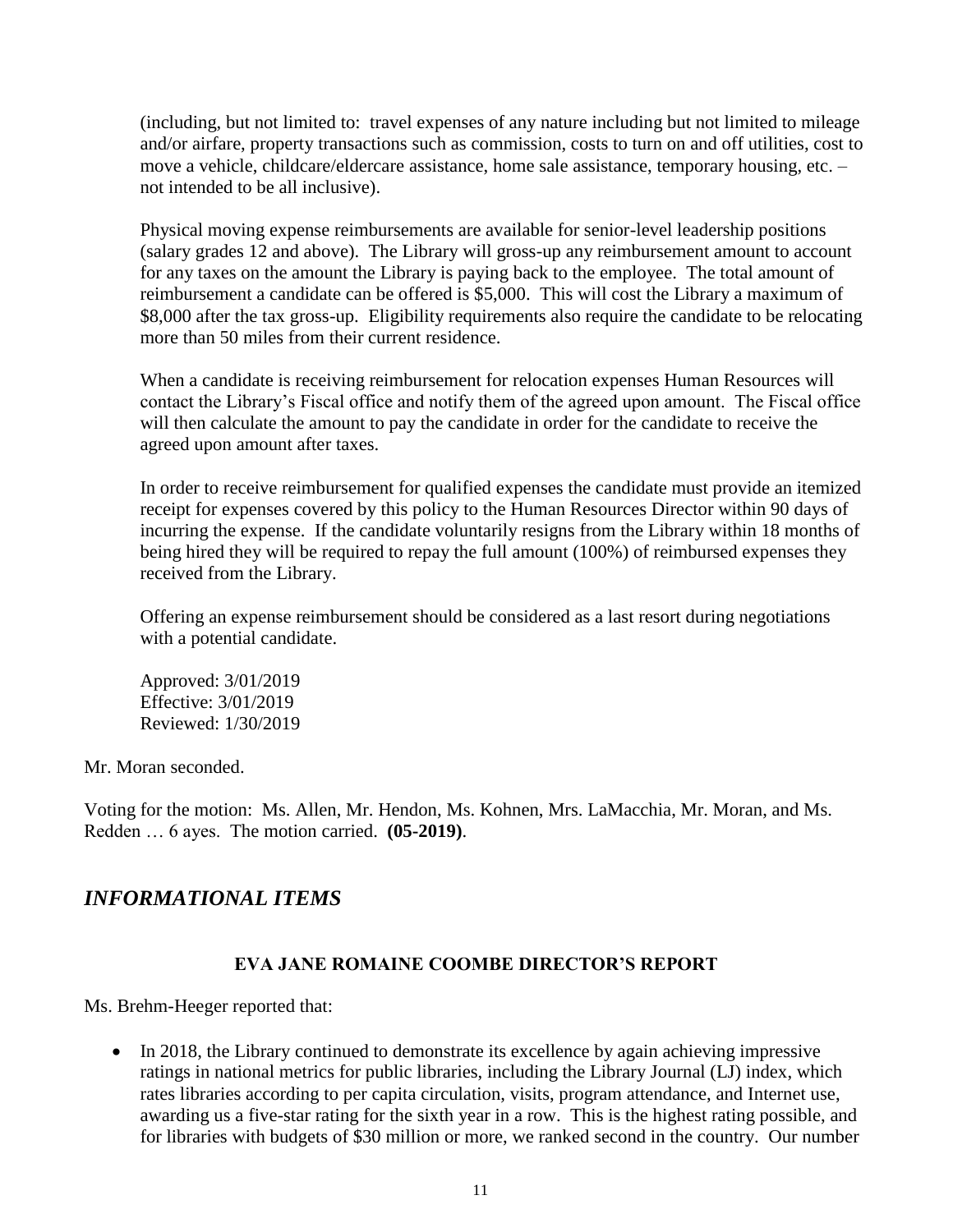(including, but not limited to: travel expenses of any nature including but not limited to mileage and/or airfare, property transactions such as commission, costs to turn on and off utilities, cost to move a vehicle, childcare/eldercare assistance, home sale assistance, temporary housing, etc. – not intended to be all inclusive).

Physical moving expense reimbursements are available for senior-level leadership positions (salary grades 12 and above). The Library will gross-up any reimbursement amount to account for any taxes on the amount the Library is paying back to the employee. The total amount of reimbursement a candidate can be offered is \$5,000. This will cost the Library a maximum of \$8,000 after the tax gross-up. Eligibility requirements also require the candidate to be relocating more than 50 miles from their current residence.

When a candidate is receiving reimbursement for relocation expenses Human Resources will contact the Library's Fiscal office and notify them of the agreed upon amount. The Fiscal office will then calculate the amount to pay the candidate in order for the candidate to receive the agreed upon amount after taxes.

In order to receive reimbursement for qualified expenses the candidate must provide an itemized receipt for expenses covered by this policy to the Human Resources Director within 90 days of incurring the expense. If the candidate voluntarily resigns from the Library within 18 months of being hired they will be required to repay the full amount (100%) of reimbursed expenses they received from the Library.

Offering an expense reimbursement should be considered as a last resort during negotiations with a potential candidate.

Approved: 3/01/2019 Effective: 3/01/2019 Reviewed: 1/30/2019

Mr. Moran seconded.

Voting for the motion: Ms. Allen, Mr. Hendon, Ms. Kohnen, Mrs. LaMacchia, Mr. Moran, and Ms. Redden … 6 ayes. The motion carried. **(05-2019)**.

# *INFORMATIONAL ITEMS*

# **EVA JANE ROMAINE COOMBE DIRECTOR'S REPORT**

Ms. Brehm-Heeger reported that:

• In 2018, the Library continued to demonstrate its excellence by again achieving impressive ratings in national metrics for public libraries, including the Library Journal (LJ) index, which rates libraries according to per capita circulation, visits, program attendance, and Internet use, awarding us a five-star rating for the sixth year in a row. This is the highest rating possible, and for libraries with budgets of \$30 million or more, we ranked second in the country. Our number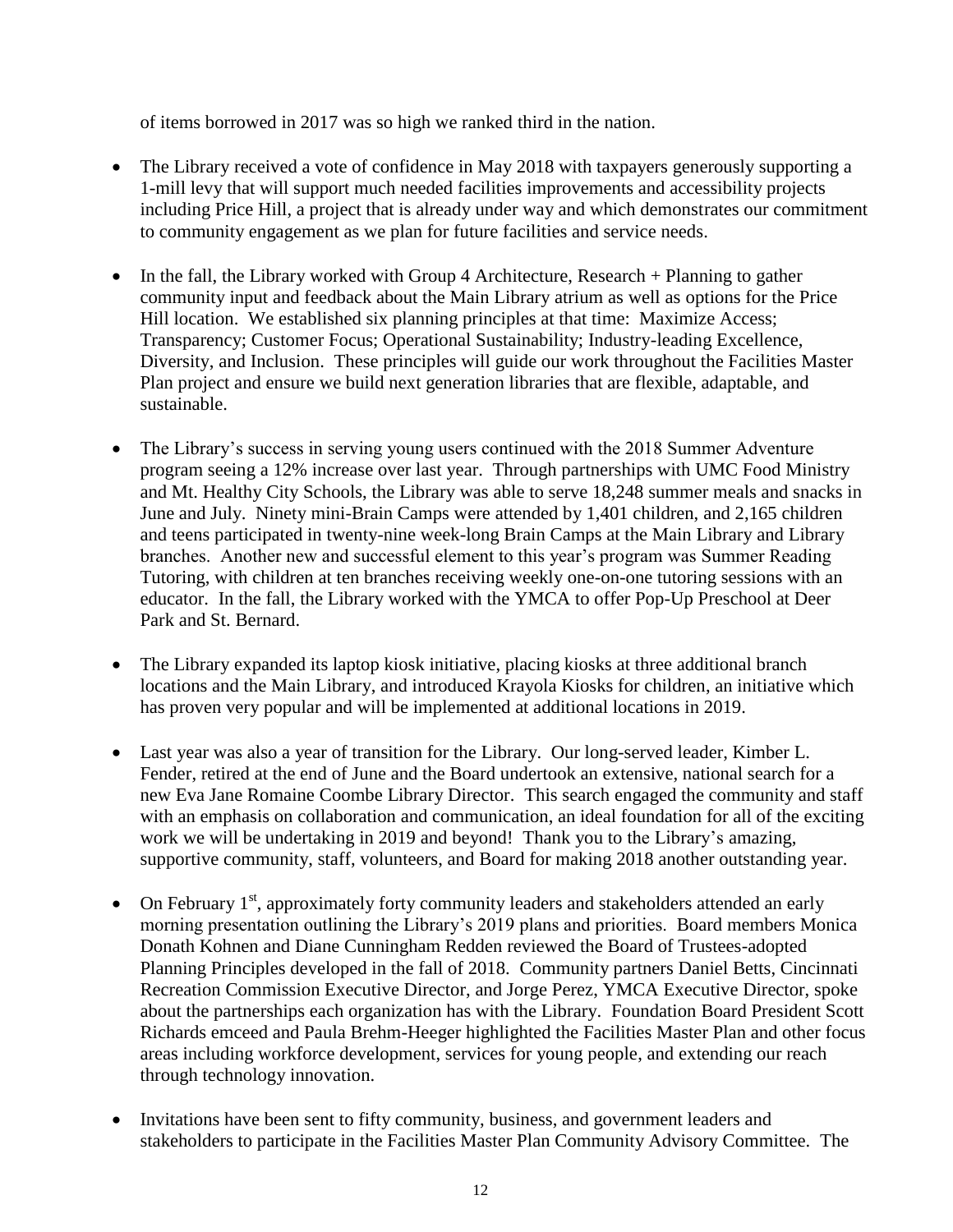of items borrowed in 2017 was so high we ranked third in the nation.

- The Library received a vote of confidence in May 2018 with taxpayers generously supporting a 1-mill levy that will support much needed facilities improvements and accessibility projects including Price Hill, a project that is already under way and which demonstrates our commitment to community engagement as we plan for future facilities and service needs.
- In the fall, the Library worked with Group 4 Architecture, Research + Planning to gather community input and feedback about the Main Library atrium as well as options for the Price Hill location. We established six planning principles at that time: Maximize Access; Transparency; Customer Focus; Operational Sustainability; Industry-leading Excellence, Diversity, and Inclusion. These principles will guide our work throughout the Facilities Master Plan project and ensure we build next generation libraries that are flexible, adaptable, and sustainable.
- The Library's success in serving young users continued with the 2018 Summer Adventure program seeing a 12% increase over last year. Through partnerships with UMC Food Ministry and Mt. Healthy City Schools, the Library was able to serve 18,248 summer meals and snacks in June and July. Ninety mini-Brain Camps were attended by 1,401 children, and 2,165 children and teens participated in twenty-nine week-long Brain Camps at the Main Library and Library branches. Another new and successful element to this year's program was Summer Reading Tutoring, with children at ten branches receiving weekly one-on-one tutoring sessions with an educator. In the fall, the Library worked with the YMCA to offer Pop-Up Preschool at Deer Park and St. Bernard.
- The Library expanded its laptop kiosk initiative, placing kiosks at three additional branch locations and the Main Library, and introduced Krayola Kiosks for children, an initiative which has proven very popular and will be implemented at additional locations in 2019.
- Last year was also a year of transition for the Library. Our long-served leader, Kimber L. Fender, retired at the end of June and the Board undertook an extensive, national search for a new Eva Jane Romaine Coombe Library Director. This search engaged the community and staff with an emphasis on collaboration and communication, an ideal foundation for all of the exciting work we will be undertaking in 2019 and beyond! Thank you to the Library's amazing, supportive community, staff, volunteers, and Board for making 2018 another outstanding year.
- On February  $1<sup>st</sup>$ , approximately forty community leaders and stakeholders attended an early morning presentation outlining the Library's 2019 plans and priorities. Board members Monica Donath Kohnen and Diane Cunningham Redden reviewed the Board of Trustees-adopted Planning Principles developed in the fall of 2018. Community partners Daniel Betts, Cincinnati Recreation Commission Executive Director, and Jorge Perez, YMCA Executive Director, spoke about the partnerships each organization has with the Library. Foundation Board President Scott Richards emceed and Paula Brehm-Heeger highlighted the Facilities Master Plan and other focus areas including workforce development, services for young people, and extending our reach through technology innovation.
- Invitations have been sent to fifty community, business, and government leaders and stakeholders to participate in the Facilities Master Plan Community Advisory Committee. The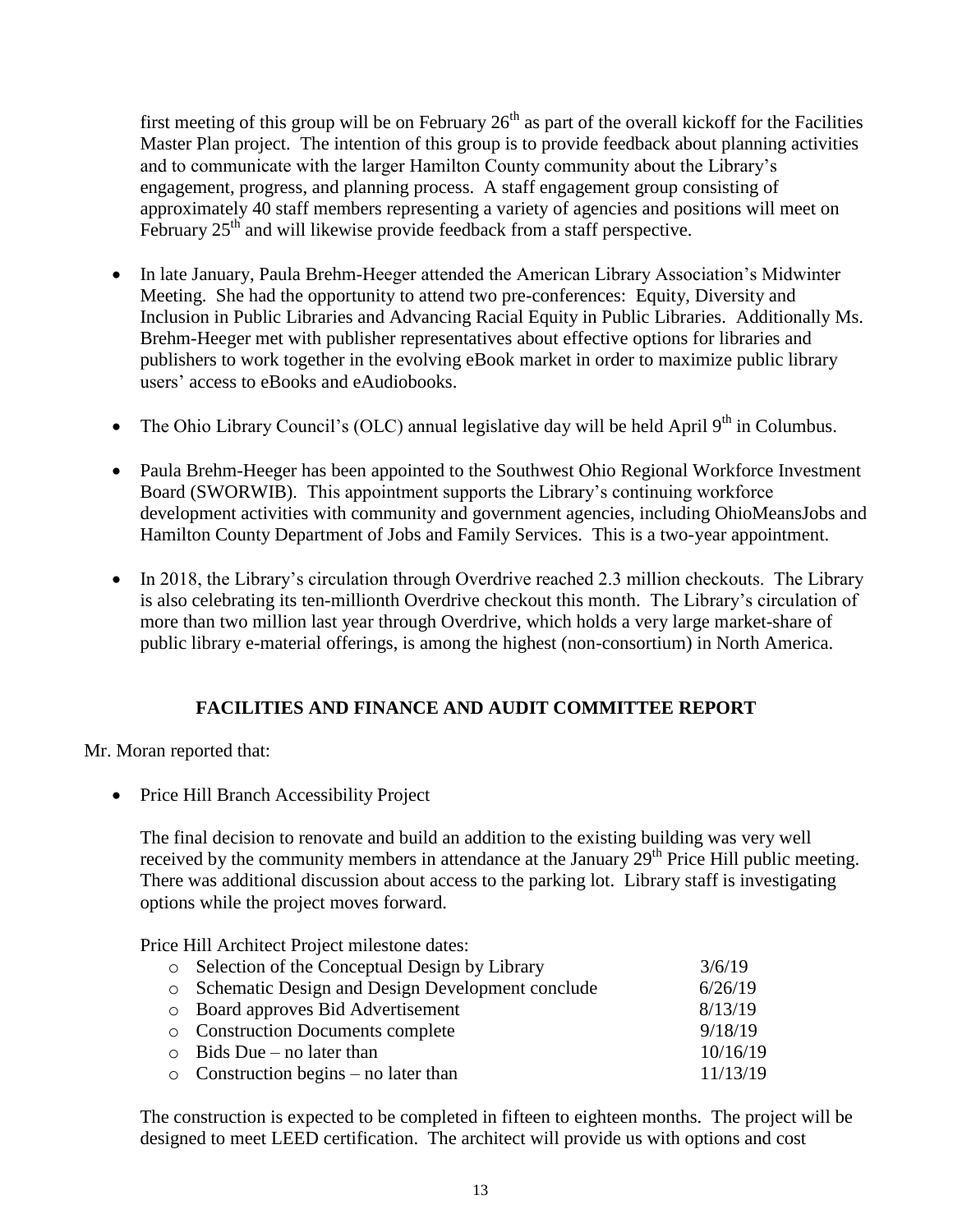first meeting of this group will be on February  $26<sup>th</sup>$  as part of the overall kickoff for the Facilities Master Plan project. The intention of this group is to provide feedback about planning activities and to communicate with the larger Hamilton County community about the Library's engagement, progress, and planning process. A staff engagement group consisting of approximately 40 staff members representing a variety of agencies and positions will meet on February 25<sup>th</sup> and will likewise provide feedback from a staff perspective.

- In late January, Paula Brehm-Heeger attended the American Library Association's Midwinter Meeting. She had the opportunity to attend two pre-conferences: Equity, Diversity and Inclusion in Public Libraries and Advancing Racial Equity in Public Libraries. Additionally Ms. Brehm-Heeger met with publisher representatives about effective options for libraries and publishers to work together in the evolving eBook market in order to maximize public library users' access to eBooks and eAudiobooks.
- The Ohio Library Council's (OLC) annual legislative day will be held April  $9<sup>th</sup>$  in Columbus.
- Paula Brehm-Heeger has been appointed to the Southwest Ohio Regional Workforce Investment Board (SWORWIB). This appointment supports the Library's continuing workforce development activities with community and government agencies, including OhioMeansJobs and Hamilton County Department of Jobs and Family Services. This is a two-year appointment.
- In 2018, the Library's circulation through Overdrive reached 2.3 million checkouts. The Library is also celebrating its ten-millionth Overdrive checkout this month. The Library's circulation of more than two million last year through Overdrive, which holds a very large market-share of public library e-material offerings, is among the highest (non-consortium) in North America.

# **FACILITIES AND FINANCE AND AUDIT COMMITTEE REPORT**

Mr. Moran reported that:

• Price Hill Branch Accessibility Project

The final decision to renovate and build an addition to the existing building was very well received by the community members in attendance at the January  $29<sup>th</sup>$  Price Hill public meeting. There was additional discussion about access to the parking lot. Library staff is investigating options while the project moves forward.

Price Hill Architect Project milestone dates:

| o Selection of the Conceptual Design by Library    | 3/6/19   |
|----------------------------------------------------|----------|
| o Schematic Design and Design Development conclude | 6/26/19  |
| <b>Example 3</b> Deard approves Bid Advertisement  | 8/13/19  |
| <b>Construction Documents complete</b>             | 9/18/19  |
| $\circ$ Bids Due – no later than                   | 10/16/19 |
| $\circ$ Construction begins – no later than        | 11/13/19 |
|                                                    |          |

The construction is expected to be completed in fifteen to eighteen months. The project will be designed to meet LEED certification. The architect will provide us with options and cost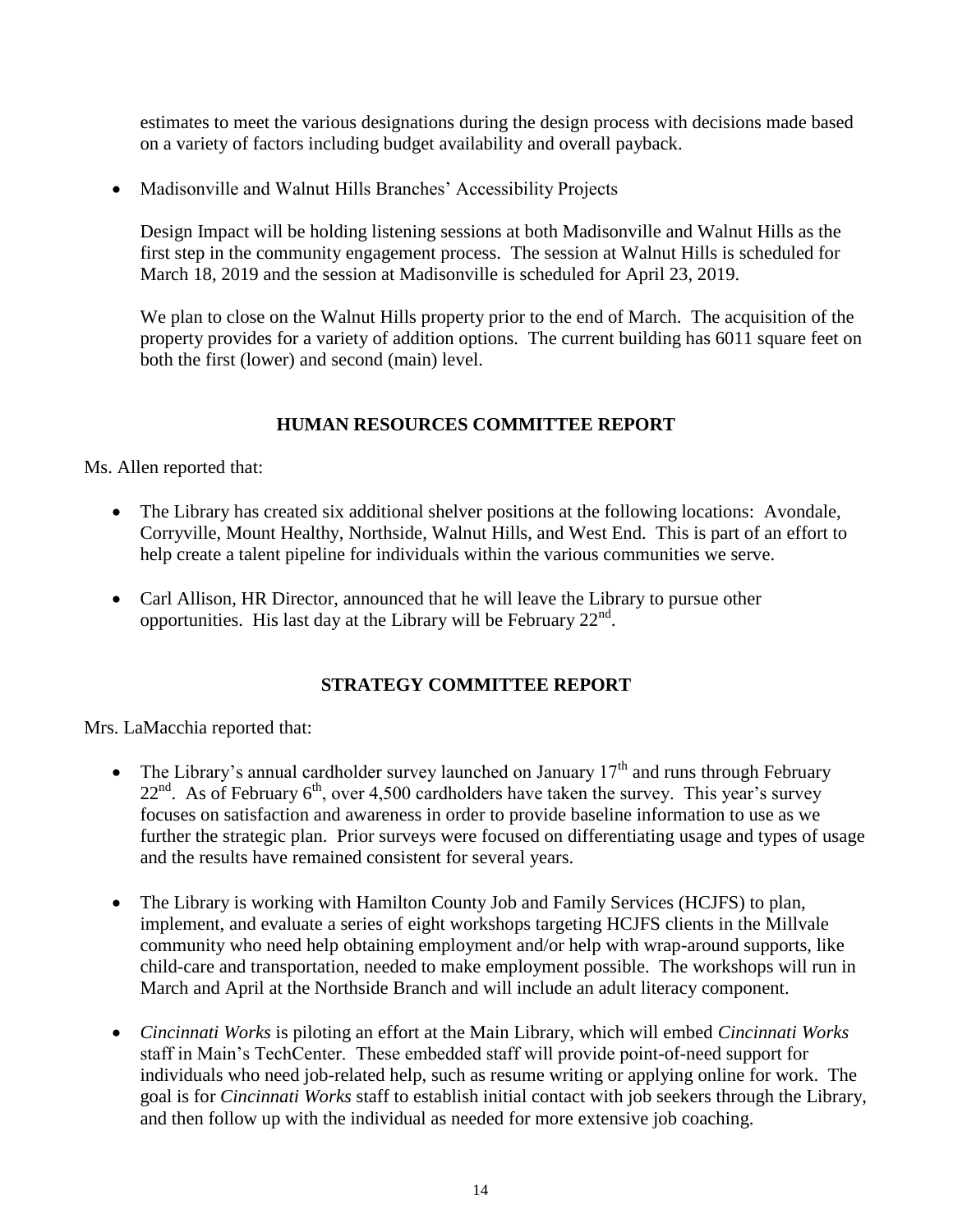estimates to meet the various designations during the design process with decisions made based on a variety of factors including budget availability and overall payback.

Madisonville and Walnut Hills Branches' Accessibility Projects

Design Impact will be holding listening sessions at both Madisonville and Walnut Hills as the first step in the community engagement process. The session at Walnut Hills is scheduled for March 18, 2019 and the session at Madisonville is scheduled for April 23, 2019.

We plan to close on the Walnut Hills property prior to the end of March. The acquisition of the property provides for a variety of addition options. The current building has 6011 square feet on both the first (lower) and second (main) level.

# **HUMAN RESOURCES COMMITTEE REPORT**

Ms. Allen reported that:

- The Library has created six additional shelver positions at the following locations: Avondale, Corryville, Mount Healthy, Northside, Walnut Hills, and West End. This is part of an effort to help create a talent pipeline for individuals within the various communities we serve.
- Carl Allison, HR Director, announced that he will leave the Library to pursue other opportunities. His last day at the Library will be February  $22<sup>nd</sup>$ .

# **STRATEGY COMMITTEE REPORT**

Mrs. LaMacchia reported that:

- The Library's annual cardholder survey launched on January  $17<sup>th</sup>$  and runs through February  $22<sup>nd</sup>$ . As of February 6<sup>th</sup>, over 4,500 cardholders have taken the survey. This year's survey focuses on satisfaction and awareness in order to provide baseline information to use as we further the strategic plan. Prior surveys were focused on differentiating usage and types of usage and the results have remained consistent for several years.
- The Library is working with Hamilton County Job and Family Services (HCJFS) to plan, implement, and evaluate a series of eight workshops targeting HCJFS clients in the Millvale community who need help obtaining employment and/or help with wrap-around supports, like child-care and transportation, needed to make employment possible. The workshops will run in March and April at the Northside Branch and will include an adult literacy component.
- *Cincinnati Works* is piloting an effort at the Main Library, which will embed *Cincinnati Works* staff in Main's TechCenter. These embedded staff will provide point-of-need support for individuals who need job-related help, such as resume writing or applying online for work. The goal is for *Cincinnati Works* staff to establish initial contact with job seekers through the Library, and then follow up with the individual as needed for more extensive job coaching.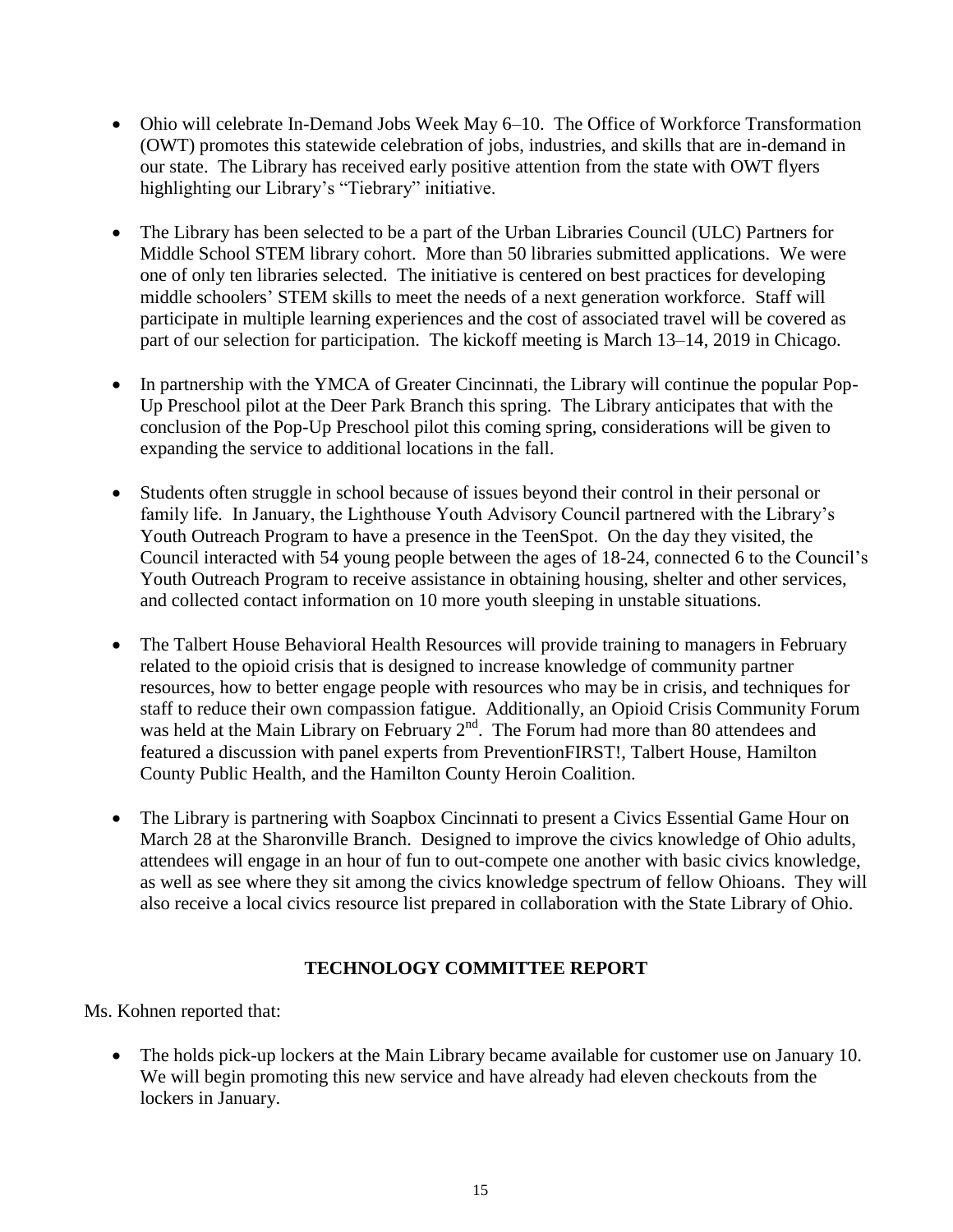- Ohio will celebrate In-Demand Jobs Week May 6–10. The Office of Workforce Transformation (OWT) promotes this statewide celebration of jobs, industries, and skills that are in-demand in our state. The Library has received early positive attention from the state with OWT flyers highlighting our Library's "Tiebrary" initiative.
- The Library has been selected to be a part of the Urban Libraries Council (ULC) Partners for Middle School STEM library cohort. More than 50 libraries submitted applications. We were one of only ten libraries selected. The initiative is centered on best practices for developing middle schoolers' STEM skills to meet the needs of a next generation workforce. Staff will participate in multiple learning experiences and the cost of associated travel will be covered as part of our selection for participation. The kickoff meeting is March 13–14, 2019 in Chicago.
- In partnership with the YMCA of Greater Cincinnati, the Library will continue the popular Pop-Up Preschool pilot at the Deer Park Branch this spring. The Library anticipates that with the conclusion of the Pop-Up Preschool pilot this coming spring, considerations will be given to expanding the service to additional locations in the fall.
- Students often struggle in school because of issues beyond their control in their personal or family life. In January, the Lighthouse Youth Advisory Council partnered with the Library's Youth Outreach Program to have a presence in the TeenSpot. On the day they visited, the Council interacted with 54 young people between the ages of 18-24, connected 6 to the Council's Youth Outreach Program to receive assistance in obtaining housing, shelter and other services, and collected contact information on 10 more youth sleeping in unstable situations.
- The Talbert House Behavioral Health Resources will provide training to managers in February related to the opioid crisis that is designed to increase knowledge of community partner resources, how to better engage people with resources who may be in crisis, and techniques for staff to reduce their own compassion fatigue. Additionally, an Opioid Crisis Community Forum was held at the Main Library on February 2<sup>nd</sup>. The Forum had more than 80 attendees and featured a discussion with panel experts from PreventionFIRST!, Talbert House, Hamilton County Public Health, and the Hamilton County Heroin Coalition.
- The Library is partnering with Soapbox Cincinnati to present a Civics Essential Game Hour on March 28 at the Sharonville Branch. Designed to improve the civics knowledge of Ohio adults, attendees will engage in an hour of fun to out-compete one another with basic civics knowledge, as well as see where they sit among the civics knowledge spectrum of fellow Ohioans. They will also receive a local civics resource list prepared in collaboration with the State Library of Ohio.

# **TECHNOLOGY COMMITTEE REPORT**

Ms. Kohnen reported that:

 The holds pick-up lockers at the Main Library became available for customer use on January 10. We will begin promoting this new service and have already had eleven checkouts from the lockers in January.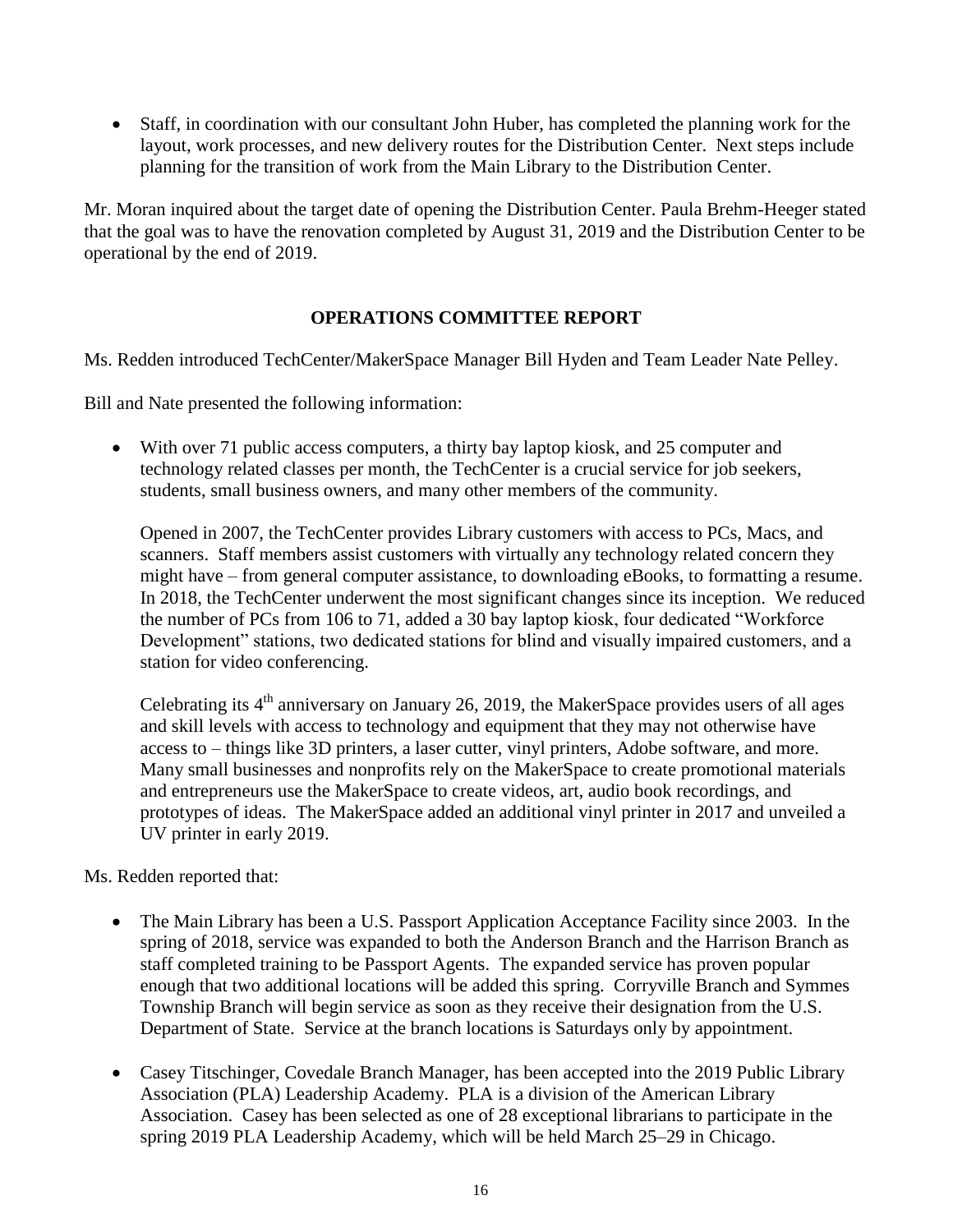Staff, in coordination with our consultant John Huber, has completed the planning work for the layout, work processes, and new delivery routes for the Distribution Center. Next steps include planning for the transition of work from the Main Library to the Distribution Center.

Mr. Moran inquired about the target date of opening the Distribution Center. Paula Brehm-Heeger stated that the goal was to have the renovation completed by August 31, 2019 and the Distribution Center to be operational by the end of 2019.

# **OPERATIONS COMMITTEE REPORT**

Ms. Redden introduced TechCenter/MakerSpace Manager Bill Hyden and Team Leader Nate Pelley.

Bill and Nate presented the following information:

 With over 71 public access computers, a thirty bay laptop kiosk, and 25 computer and technology related classes per month, the TechCenter is a crucial service for job seekers, students, small business owners, and many other members of the community.

Opened in 2007, the TechCenter provides Library customers with access to PCs, Macs, and scanners. Staff members assist customers with virtually any technology related concern they might have – from general computer assistance, to downloading eBooks, to formatting a resume. In 2018, the TechCenter underwent the most significant changes since its inception. We reduced the number of PCs from 106 to 71, added a 30 bay laptop kiosk, four dedicated "Workforce Development" stations, two dedicated stations for blind and visually impaired customers, and a station for video conferencing.

Celebrating its  $4<sup>th</sup>$  anniversary on January 26, 2019, the MakerSpace provides users of all ages and skill levels with access to technology and equipment that they may not otherwise have access to – things like 3D printers, a laser cutter, vinyl printers, Adobe software, and more. Many small businesses and nonprofits rely on the MakerSpace to create promotional materials and entrepreneurs use the MakerSpace to create videos, art, audio book recordings, and prototypes of ideas. The MakerSpace added an additional vinyl printer in 2017 and unveiled a UV printer in early 2019.

# Ms. Redden reported that:

- The Main Library has been a U.S. Passport Application Acceptance Facility since 2003. In the spring of 2018, service was expanded to both the Anderson Branch and the Harrison Branch as staff completed training to be Passport Agents. The expanded service has proven popular enough that two additional locations will be added this spring. Corryville Branch and Symmes Township Branch will begin service as soon as they receive their designation from the U.S. Department of State. Service at the branch locations is Saturdays only by appointment.
- Casey Titschinger, Covedale Branch Manager, has been accepted into the 2019 Public Library Association (PLA) Leadership Academy. PLA is a division of the American Library Association. Casey has been selected as one of 28 exceptional librarians to participate in the spring 2019 PLA Leadership Academy, which will be held March 25–29 in Chicago.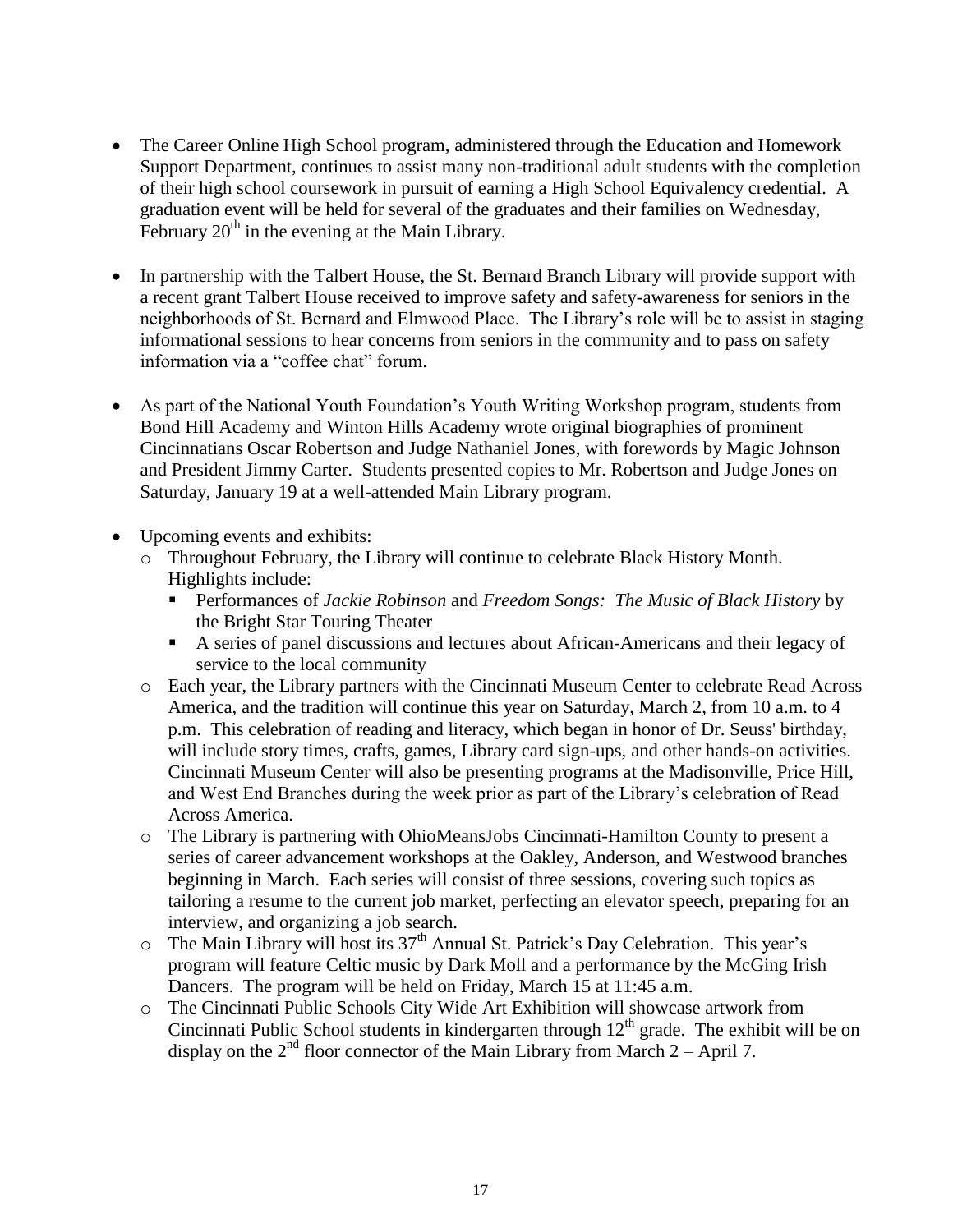- The Career Online High School program, administered through the Education and Homework Support Department, continues to assist many non-traditional adult students with the completion of their high school coursework in pursuit of earning a High School Equivalency credential. A graduation event will be held for several of the graduates and their families on Wednesday, February  $20<sup>th</sup>$  in the evening at the Main Library.
- In partnership with the Talbert House, the St. Bernard Branch Library will provide support with a recent grant Talbert House received to improve safety and safety-awareness for seniors in the neighborhoods of St. Bernard and Elmwood Place. The Library's role will be to assist in staging informational sessions to hear concerns from seniors in the community and to pass on safety information via a "coffee chat" forum.
- As part of the National Youth Foundation's Youth Writing Workshop program, students from Bond Hill Academy and Winton Hills Academy wrote original biographies of prominent Cincinnatians Oscar Robertson and Judge Nathaniel Jones, with forewords by Magic Johnson and President Jimmy Carter. Students presented copies to Mr. Robertson and Judge Jones on Saturday, January 19 at a well-attended Main Library program.
- Upcoming events and exhibits:
	- o Throughout February, the Library will continue to celebrate Black History Month. Highlights include:
		- Performances of *Jackie Robinson* and *Freedom Songs: The Music of Black History* by the Bright Star Touring Theater
		- A series of panel discussions and lectures about African-Americans and their legacy of service to the local community
	- o Each year, the Library partners with the Cincinnati Museum Center to celebrate Read Across America, and the tradition will continue this year on Saturday, March 2, from 10 a.m. to 4 p.m. This celebration of reading and literacy, which began in honor of Dr. Seuss' birthday, will include story times, crafts, games, Library card sign-ups, and other hands-on activities. Cincinnati Museum Center will also be presenting programs at the Madisonville, Price Hill, and West End Branches during the week prior as part of the Library's celebration of Read Across America.
	- o The Library is partnering with OhioMeansJobs Cincinnati-Hamilton County to present a series of career advancement workshops at the Oakley, Anderson, and Westwood branches beginning in March. Each series will consist of three sessions, covering such topics as tailoring a resume to the current job market, perfecting an elevator speech, preparing for an interview, and organizing a job search.
	- $\circ$  The Main Library will host its 37<sup>th</sup> Annual St. Patrick's Day Celebration. This year's program will feature Celtic music by Dark Moll and a performance by the McGing Irish Dancers. The program will be held on Friday, March 15 at 11:45 a.m.
	- o The Cincinnati Public Schools City Wide Art Exhibition will showcase artwork from Cincinnati Public School students in kindergarten through  $12<sup>th</sup>$  grade. The exhibit will be on display on the  $2<sup>nd</sup>$  floor connector of the Main Library from March 2 – April 7.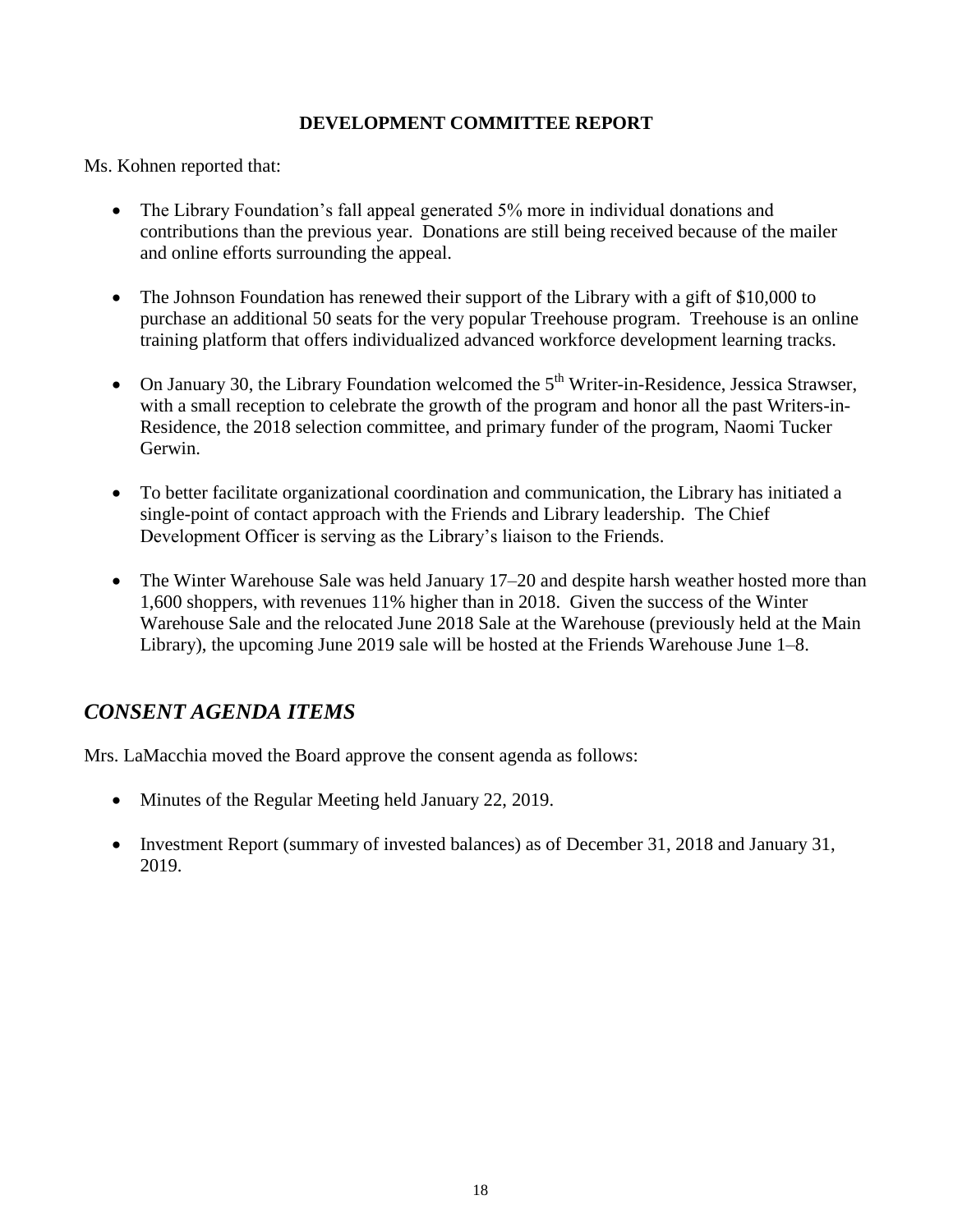# **DEVELOPMENT COMMITTEE REPORT**

Ms. Kohnen reported that:

- The Library Foundation's fall appeal generated 5% more in individual donations and contributions than the previous year. Donations are still being received because of the mailer and online efforts surrounding the appeal.
- The Johnson Foundation has renewed their support of the Library with a gift of \$10,000 to purchase an additional 50 seats for the very popular Treehouse program. Treehouse is an online training platform that offers individualized advanced workforce development learning tracks.
- On January 30, the Library Foundation welcomed the  $5<sup>th</sup>$  Writer-in-Residence, Jessica Strawser, with a small reception to celebrate the growth of the program and honor all the past Writers-in-Residence, the 2018 selection committee, and primary funder of the program, Naomi Tucker Gerwin.
- To better facilitate organizational coordination and communication, the Library has initiated a single-point of contact approach with the Friends and Library leadership. The Chief Development Officer is serving as the Library's liaison to the Friends.
- The Winter Warehouse Sale was held January 17–20 and despite harsh weather hosted more than 1,600 shoppers, with revenues 11% higher than in 2018. Given the success of the Winter Warehouse Sale and the relocated June 2018 Sale at the Warehouse (previously held at the Main Library), the upcoming June 2019 sale will be hosted at the Friends Warehouse June 1–8.

# *CONSENT AGENDA ITEMS*

Mrs. LaMacchia moved the Board approve the consent agenda as follows:

- Minutes of the Regular Meeting held January 22, 2019.
- Investment Report (summary of invested balances) as of December 31, 2018 and January 31, 2019.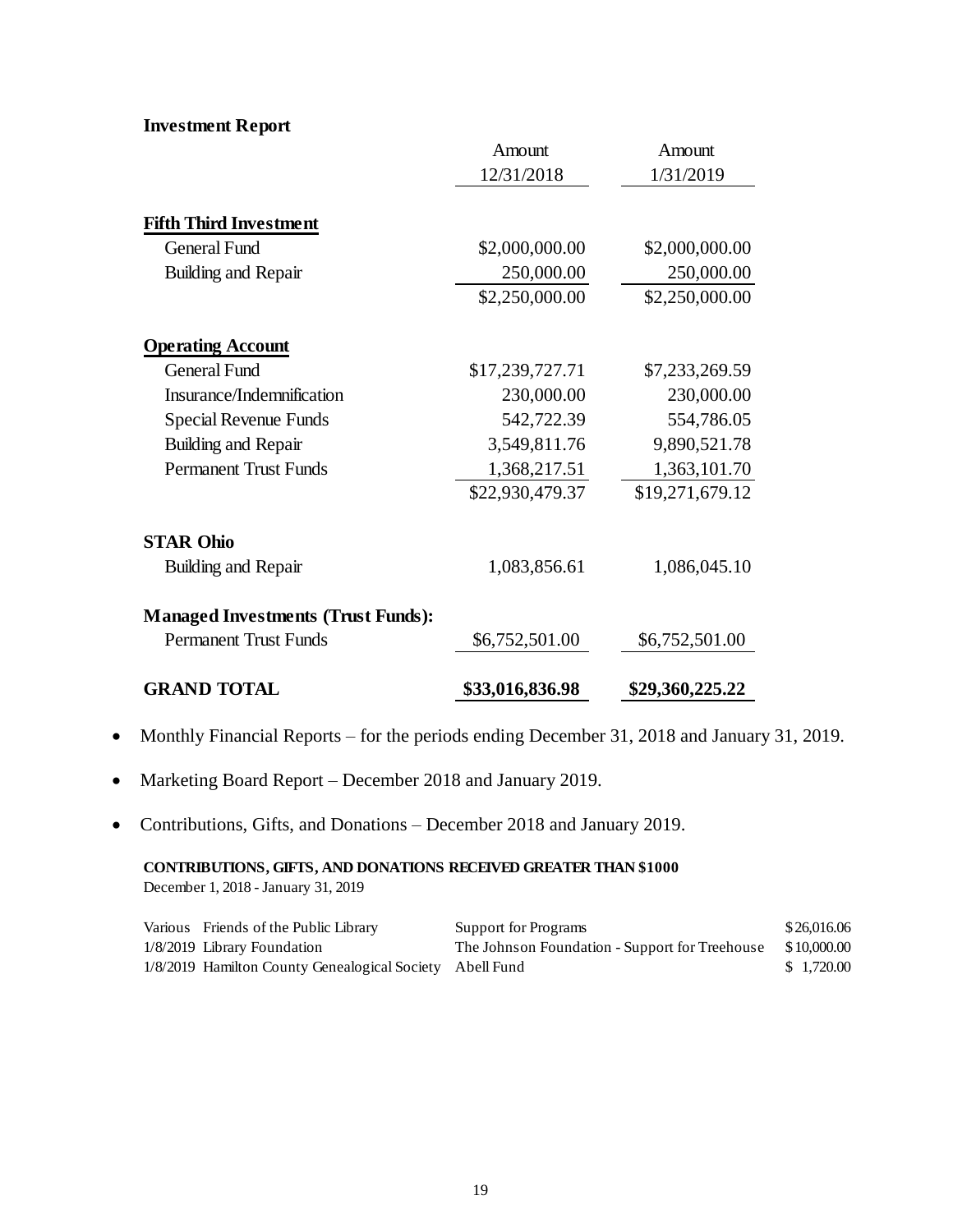**Investment Report**

|                                           | Amount          | Amount          |
|-------------------------------------------|-----------------|-----------------|
|                                           | 12/31/2018      | 1/31/2019       |
| <b>Fifth Third Investment</b>             |                 |                 |
| <b>General Fund</b>                       | \$2,000,000.00  | \$2,000,000.00  |
| Building and Repair                       | 250,000.00      | 250,000.00      |
|                                           | \$2,250,000.00  | \$2,250,000.00  |
| <b>Operating Account</b>                  |                 |                 |
| <b>General Fund</b>                       | \$17,239,727.71 | \$7,233,269.59  |
| Insurance/Indemnification                 | 230,000.00      | 230,000.00      |
| <b>Special Revenue Funds</b>              | 542,722.39      | 554,786.05      |
| Building and Repair                       | 3,549,811.76    | 9,890,521.78    |
| <b>Permanent Trust Funds</b>              | 1,368,217.51    | 1,363,101.70    |
|                                           | \$22,930,479.37 | \$19,271,679.12 |
| <b>STAR Ohio</b>                          |                 |                 |
| Building and Repair                       | 1,083,856.61    | 1,086,045.10    |
| <b>Managed Investments (Trust Funds):</b> |                 |                 |
| <b>Permanent Trust Funds</b>              | \$6,752,501.00  | \$6,752,501.00  |
| <b>GRAND TOTAL</b>                        | \$33,016,836.98 | \$29,360,225.22 |

- Monthly Financial Reports for the periods ending December 31, 2018 and January 31, 2019.
- Marketing Board Report December 2018 and January 2019.
- Contributions, Gifts, and Donations December 2018 and January 2019.

**CONTRIBUTIONS, GIFTS, AND DONATIONS RECEIVED GREATER THAN \$1000** December 1, 2018 - January 31, 2019

| Various Friends of the Public Library                    | Support for Programs                           | \$26,016.06 |
|----------------------------------------------------------|------------------------------------------------|-------------|
| 1/8/2019 Library Foundation                              | The Johnson Foundation - Support for Treehouse | \$10,000.00 |
| 1/8/2019 Hamilton County Genealogical Society Abell Fund |                                                | \$1,720.00  |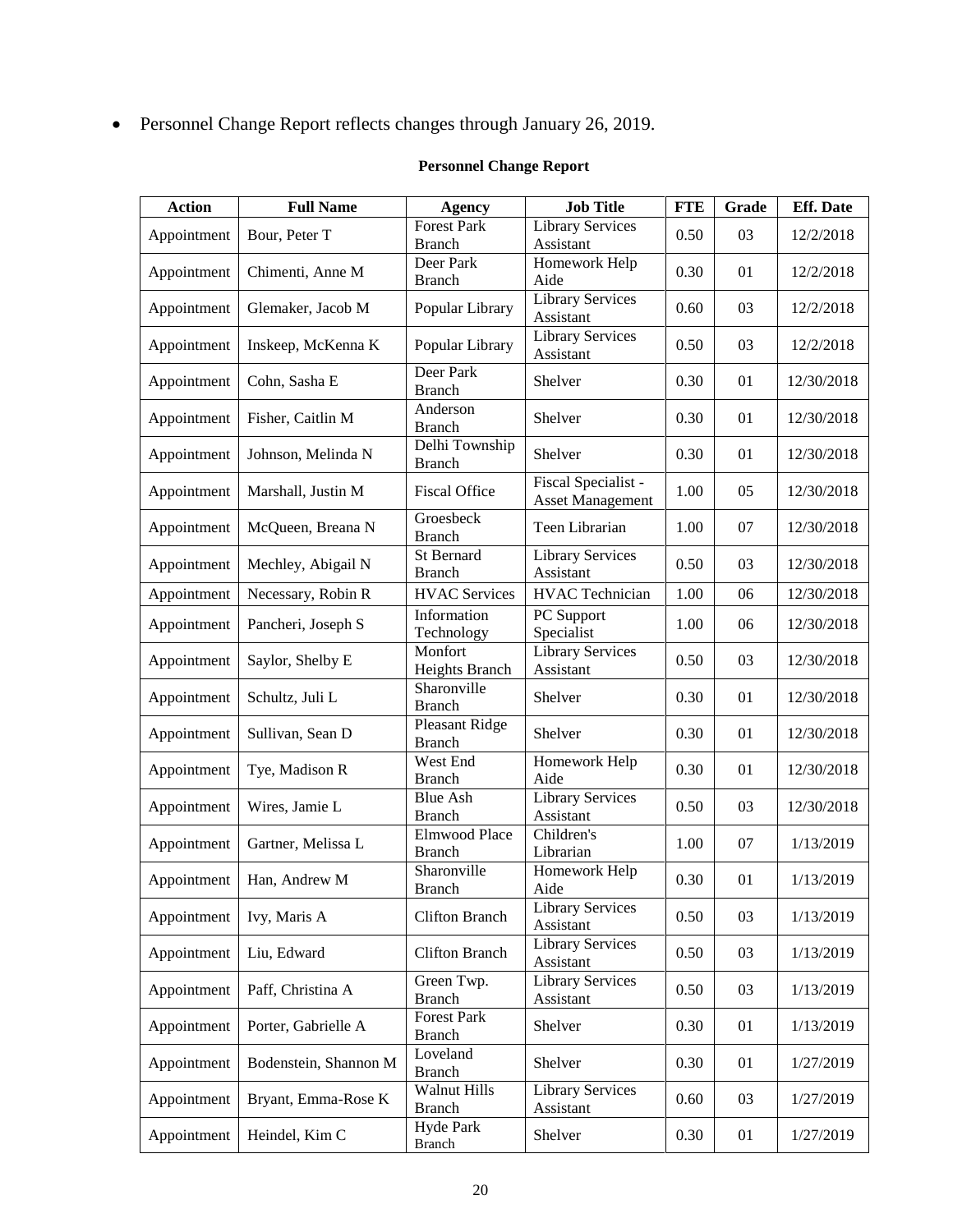Personnel Change Report reflects changes through January 26, 2019.

| <b>Action</b> | <b>Full Name</b>      | <b>Agency</b>                       | <b>Job Title</b>                               | <b>FTE</b> | Grade | <b>Eff.</b> Date |
|---------------|-----------------------|-------------------------------------|------------------------------------------------|------------|-------|------------------|
| Appointment   | Bour, Peter T         | <b>Forest Park</b><br><b>Branch</b> | <b>Library Services</b><br>Assistant           | 0.50       | 03    | 12/2/2018        |
| Appointment   | Chimenti, Anne M      | Deer Park<br><b>Branch</b>          | Homework Help<br>Aide                          | 0.30       | 01    | 12/2/2018        |
| Appointment   | Glemaker, Jacob M     | Popular Library                     | <b>Library Services</b><br>Assistant           | 0.60       | 03    | 12/2/2018        |
| Appointment   | Inskeep, McKenna K    | Popular Library                     | Library Services<br>Assistant                  | 0.50       | 03    | 12/2/2018        |
| Appointment   | Cohn, Sasha E         | Deer Park<br><b>Branch</b>          | Shelver                                        | 0.30       | 01    | 12/30/2018       |
| Appointment   | Fisher, Caitlin M     | Anderson<br><b>Branch</b>           | Shelver                                        | 0.30       | 01    | 12/30/2018       |
| Appointment   | Johnson, Melinda N    | Delhi Township<br><b>Branch</b>     | Shelver                                        | 0.30       | 01    | 12/30/2018       |
| Appointment   | Marshall, Justin M    | <b>Fiscal Office</b>                | Fiscal Specialist -<br><b>Asset Management</b> | 1.00       | 05    | 12/30/2018       |
| Appointment   | McQueen, Breana N     | Groesbeck<br><b>Branch</b>          | Teen Librarian                                 | 1.00       | 07    | 12/30/2018       |
| Appointment   | Mechley, Abigail N    | St Bernard<br><b>Branch</b>         | <b>Library Services</b><br>Assistant           | 0.50       | 03    | 12/30/2018       |
| Appointment   | Necessary, Robin R    | <b>HVAC</b> Services                | <b>HVAC</b> Technician                         | 1.00       | 06    | 12/30/2018       |
| Appointment   | Pancheri, Joseph S    | Information<br>Technology           | PC Support<br>Specialist                       | 1.00       | 06    | 12/30/2018       |
| Appointment   | Saylor, Shelby E      | Monfort<br>Heights Branch           | <b>Library Services</b><br>Assistant           | 0.50       | 03    | 12/30/2018       |
| Appointment   | Schultz, Juli L       | Sharonville<br><b>Branch</b>        | Shelver                                        | 0.30       | 01    | 12/30/2018       |
| Appointment   | Sullivan, Sean D      | Pleasant Ridge<br><b>Branch</b>     | Shelver                                        | 0.30       | 01    | 12/30/2018       |
| Appointment   | Tye, Madison R        | West End<br><b>Branch</b>           | Homework Help<br>Aide                          | 0.30       | 01    | 12/30/2018       |
| Appointment   | Wires, Jamie L        | <b>Blue Ash</b><br><b>Branch</b>    | <b>Library Services</b><br>Assistant           | 0.50       | 03    | 12/30/2018       |
| Appointment   | Gartner, Melissa L    | Elmwood Place<br><b>Branch</b>      | Children's<br>Librarian                        | 1.00       | 07    | 1/13/2019        |
| Appointment   | Han, Andrew M         | Sharonville<br><b>Branch</b>        | Homework Help<br>Aide                          | 0.30       | 01    | 1/13/2019        |
| Appointment   | Ivy, Maris A          | <b>Clifton Branch</b>               | <b>Library Services</b><br>Assistant           | 0.50       | 03    | 1/13/2019        |
| Appointment   | Liu, Edward           | <b>Clifton Branch</b>               | Library Services<br>Assistant                  | 0.50       | 03    | 1/13/2019        |
| Appointment   | Paff, Christina A     | Green Twp.<br><b>Branch</b>         | <b>Library Services</b><br>Assistant           | 0.50       | 03    | 1/13/2019        |
| Appointment   | Porter, Gabrielle A   | <b>Forest Park</b><br><b>Branch</b> | Shelver                                        | 0.30       | 01    | 1/13/2019        |
| Appointment   | Bodenstein, Shannon M | Loveland<br><b>Branch</b>           | Shelver                                        | 0.30       | 01    | 1/27/2019        |
| Appointment   | Bryant, Emma-Rose K   | Walnut Hills<br><b>Branch</b>       | <b>Library Services</b><br>Assistant           | 0.60       | 03    | 1/27/2019        |
| Appointment   | Heindel, Kim C        | Hyde Park<br><b>Branch</b>          | Shelver                                        | 0.30       | 01    | 1/27/2019        |

#### **Personnel Change Report**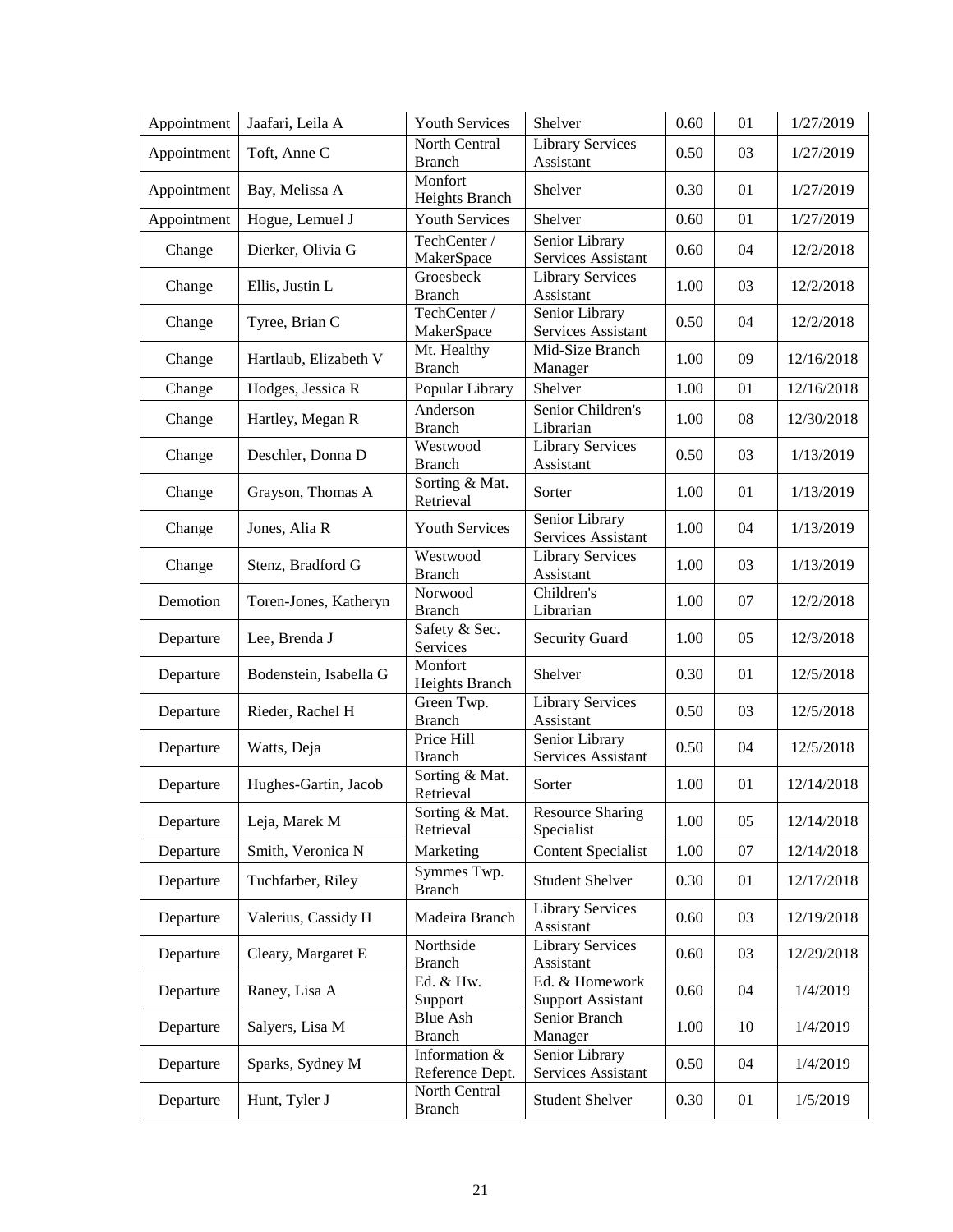| Appointment | Jaafari, Leila A       | <b>Youth Services</b>            | Shelver                                    | 0.60 | 01 | 1/27/2019  |
|-------------|------------------------|----------------------------------|--------------------------------------------|------|----|------------|
| Appointment | Toft, Anne C           | North Central<br><b>Branch</b>   | <b>Library Services</b><br>Assistant       | 0.50 | 03 | 1/27/2019  |
| Appointment | Bay, Melissa A         | Monfort<br>Heights Branch        | Shelver                                    | 0.30 | 01 | 1/27/2019  |
| Appointment | Hogue, Lemuel J        | Youth Services                   | Shelver                                    | 0.60 | 01 | 1/27/2019  |
| Change      | Dierker, Olivia G      | TechCenter /<br>MakerSpace       | Senior Library<br>Services Assistant       | 0.60 | 04 | 12/2/2018  |
| Change      | Ellis, Justin L        | Groesbeck<br><b>Branch</b>       | <b>Library Services</b><br>Assistant       | 1.00 | 03 | 12/2/2018  |
| Change      | Tyree, Brian C         | TechCenter /<br>MakerSpace       | Senior Library<br>Services Assistant       | 0.50 | 04 | 12/2/2018  |
| Change      | Hartlaub, Elizabeth V  | Mt. Healthy<br><b>Branch</b>     | Mid-Size Branch<br>Manager                 | 1.00 | 09 | 12/16/2018 |
| Change      | Hodges, Jessica R      | Popular Library                  | Shelver                                    | 1.00 | 01 | 12/16/2018 |
| Change      | Hartley, Megan R       | Anderson<br><b>Branch</b>        | Senior Children's<br>Librarian             | 1.00 | 08 | 12/30/2018 |
| Change      | Deschler, Donna D      | Westwood<br><b>Branch</b>        | Library Services<br>Assistant              | 0.50 | 03 | 1/13/2019  |
| Change      | Grayson, Thomas A      | Sorting & Mat.<br>Retrieval      | Sorter                                     | 1.00 | 01 | 1/13/2019  |
| Change      | Jones, Alia R          | <b>Youth Services</b>            | Senior Library<br>Services Assistant       | 1.00 | 04 | 1/13/2019  |
| Change      | Stenz, Bradford G      | Westwood<br><b>Branch</b>        | <b>Library Services</b><br>Assistant       | 1.00 | 03 | 1/13/2019  |
| Demotion    | Toren-Jones, Katheryn  | Norwood<br><b>Branch</b>         | Children's<br>Librarian                    | 1.00 | 07 | 12/2/2018  |
| Departure   | Lee, Brenda J          | Safety & Sec.<br>Services        | <b>Security Guard</b>                      | 1.00 | 05 | 12/3/2018  |
| Departure   | Bodenstein, Isabella G | Monfort<br>Heights Branch        | Shelver                                    | 0.30 | 01 | 12/5/2018  |
| Departure   | Rieder, Rachel H       | Green Twp.<br><b>Branch</b>      | <b>Library Services</b><br>Assistant       | 0.50 | 03 | 12/5/2018  |
| Departure   | Watts, Deja            | Price Hill<br><b>Branch</b>      | Senior Library<br>Services Assistant       | 0.50 | 04 | 12/5/2018  |
| Departure   | Hughes-Gartin, Jacob   | Sorting & Mat.<br>Retrieval      | Sorter                                     | 1.00 | 01 | 12/14/2018 |
| Departure   | Leja, Marek M          | Sorting & Mat.<br>Retrieval      | <b>Resource Sharing</b><br>Specialist      | 1.00 | 05 | 12/14/2018 |
| Departure   | Smith, Veronica N      | Marketing                        | <b>Content Specialist</b>                  | 1.00 | 07 | 12/14/2018 |
| Departure   | Tuchfarber, Riley      | Symmes Twp.<br><b>Branch</b>     | <b>Student Shelver</b>                     | 0.30 | 01 | 12/17/2018 |
| Departure   | Valerius, Cassidy H    | Madeira Branch                   | <b>Library Services</b><br>Assistant       | 0.60 | 03 | 12/19/2018 |
| Departure   | Cleary, Margaret E     | Northside<br><b>Branch</b>       | <b>Library Services</b><br>Assistant       | 0.60 | 03 | 12/29/2018 |
| Departure   | Raney, Lisa A          | Ed. & Hw.<br>Support             | Ed. & Homework<br><b>Support Assistant</b> | 0.60 | 04 | 1/4/2019   |
| Departure   | Salyers, Lisa M        | <b>Blue Ash</b><br><b>Branch</b> | Senior Branch<br>Manager                   | 1.00 | 10 | 1/4/2019   |
| Departure   | Sparks, Sydney M       | Information &<br>Reference Dept. | Senior Library<br>Services Assistant       | 0.50 | 04 | 1/4/2019   |
| Departure   | Hunt, Tyler J          | North Central<br><b>Branch</b>   | <b>Student Shelver</b>                     | 0.30 | 01 | 1/5/2019   |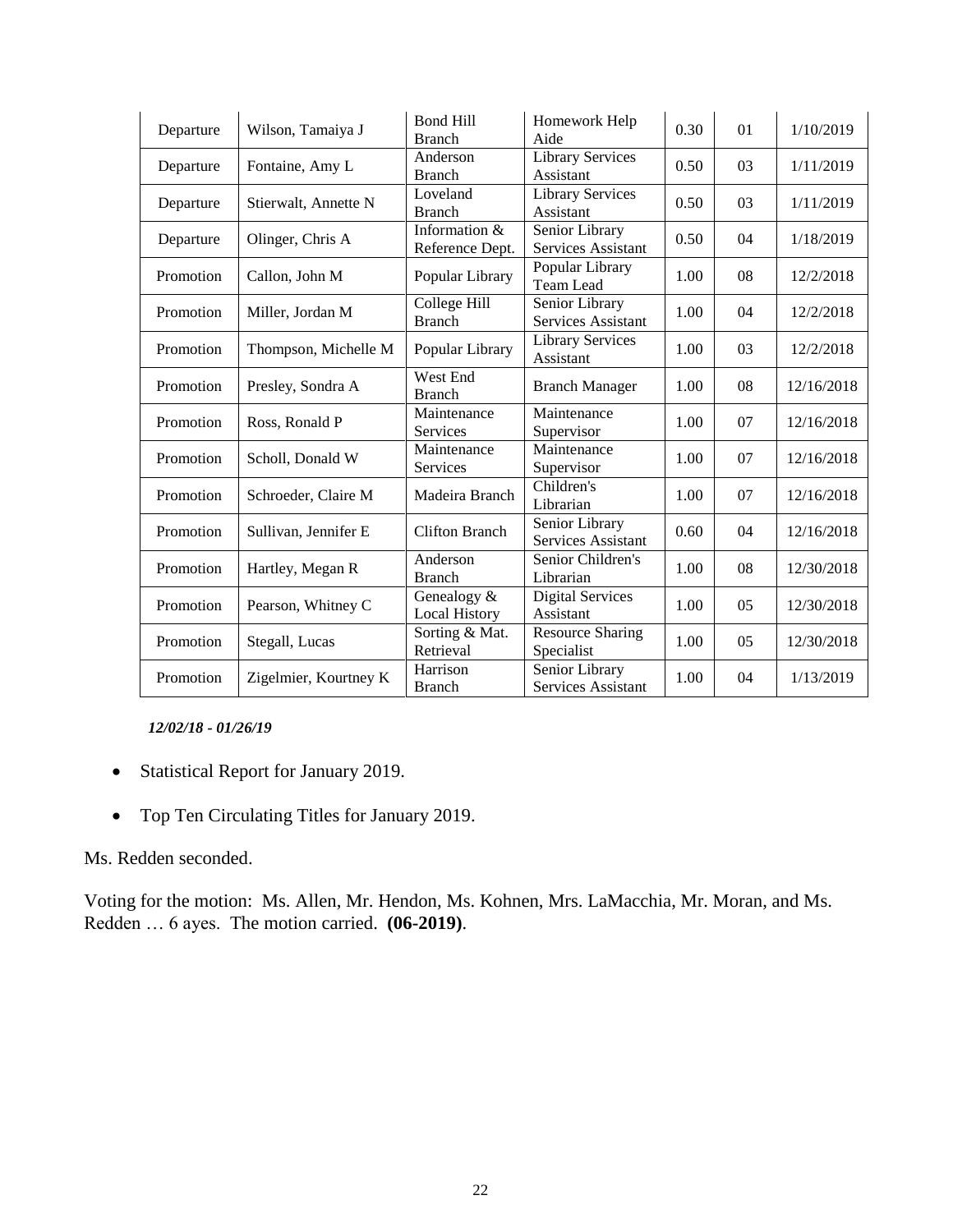| Departure | Wilson, Tamaiya J     | Bond Hill<br><b>Branch</b>          | Homework Help<br>Aide                 | 0.30 | 01 | 1/10/2019  |
|-----------|-----------------------|-------------------------------------|---------------------------------------|------|----|------------|
| Departure | Fontaine, Amy L       | Anderson<br><b>Branch</b>           | Library Services<br>Assistant         | 0.50 | 03 | 1/11/2019  |
| Departure | Stierwalt, Annette N  | Loveland<br><b>Branch</b>           | <b>Library Services</b><br>Assistant  | 0.50 | 03 | 1/11/2019  |
| Departure | Olinger, Chris A      | Information &<br>Reference Dept.    | Senior Library<br>Services Assistant  | 0.50 | 04 | 1/18/2019  |
| Promotion | Callon, John M        | Popular Library                     | Popular Library<br><b>Team Lead</b>   | 1.00 | 08 | 12/2/2018  |
| Promotion | Miller, Jordan M      | College Hill<br><b>Branch</b>       | Senior Library<br>Services Assistant  | 1.00 | 04 | 12/2/2018  |
| Promotion | Thompson, Michelle M  | Popular Library                     | <b>Library Services</b><br>Assistant  | 1.00 | 03 | 12/2/2018  |
| Promotion | Presley, Sondra A     | West End<br><b>Branch</b>           | <b>Branch Manager</b>                 | 1.00 | 08 | 12/16/2018 |
| Promotion | Ross, Ronald P        | Maintenance<br>Services             | Maintenance<br>Supervisor             | 1.00 | 07 | 12/16/2018 |
| Promotion | Scholl, Donald W      | Maintenance<br>Services             | Maintenance<br>Supervisor             | 1.00 | 07 | 12/16/2018 |
| Promotion | Schroeder, Claire M   | Madeira Branch                      | Children's<br>Librarian               | 1.00 | 07 | 12/16/2018 |
| Promotion | Sullivan, Jennifer E  | <b>Clifton Branch</b>               | Senior Library<br>Services Assistant  | 0.60 | 04 | 12/16/2018 |
| Promotion | Hartley, Megan R      | Anderson<br><b>Branch</b>           | Senior Children's<br>Librarian        | 1.00 | 08 | 12/30/2018 |
| Promotion | Pearson, Whitney C    | Genealogy &<br><b>Local History</b> | <b>Digital Services</b><br>Assistant  | 1.00 | 05 | 12/30/2018 |
| Promotion | Stegall, Lucas        | Sorting & Mat.<br>Retrieval         | <b>Resource Sharing</b><br>Specialist | 1.00 | 05 | 12/30/2018 |
| Promotion | Zigelmier, Kourtney K | Harrison<br><b>Branch</b>           | Senior Library<br>Services Assistant  | 1.00 | 04 | 1/13/2019  |

*12/02/18 - 01/26/19*

- Statistical Report for January 2019.
- Top Ten Circulating Titles for January 2019.

#### Ms. Redden seconded.

Voting for the motion: Ms. Allen, Mr. Hendon, Ms. Kohnen, Mrs. LaMacchia, Mr. Moran, and Ms. Redden … 6 ayes. The motion carried. **(06-2019)**.